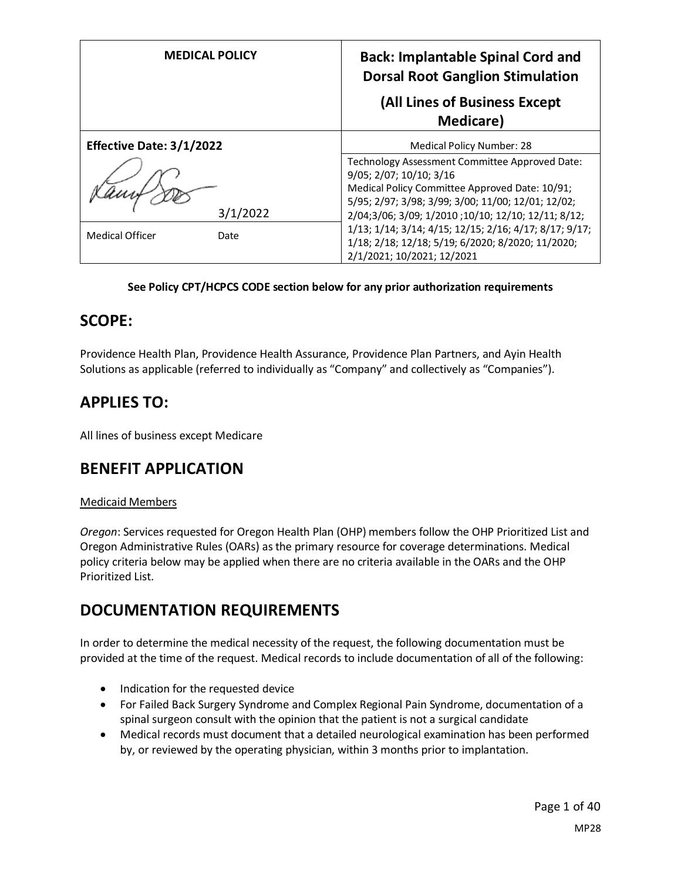| <b>MEDICAL POLICY</b>           | <b>Back: Implantable Spinal Cord and</b><br><b>Dorsal Root Ganglion Stimulation</b>                                                                                                                                                      |  |
|---------------------------------|------------------------------------------------------------------------------------------------------------------------------------------------------------------------------------------------------------------------------------------|--|
|                                 | (All Lines of Business Except<br><b>Medicare</b> )                                                                                                                                                                                       |  |
| <b>Effective Date: 3/1/2022</b> | <b>Medical Policy Number: 28</b>                                                                                                                                                                                                         |  |
| 3/1/2022                        | Technology Assessment Committee Approved Date:<br>9/05; 2/07; 10/10; 3/16<br>Medical Policy Committee Approved Date: 10/91;<br>5/95; 2/97; 3/98; 3/99; 3/00; 11/00; 12/01; 12/02;<br>2/04;3/06; 3/09; 1/2010; 10/10; 12/10; 12/11; 8/12; |  |
| <b>Medical Officer</b><br>Date  | 1/13; 1/14; 3/14; 4/15; 12/15; 2/16; 4/17; 8/17; 9/17;<br>1/18; 2/18; 12/18; 5/19; 6/2020; 8/2020; 11/2020;<br>2/1/2021; 10/2021; 12/2021                                                                                                |  |

## **See Policy CPT/HCPCS CODE section below for any prior authorization requirements**

## **SCOPE:**

Providence Health Plan, Providence Health Assurance, Providence Plan Partners, and Ayin Health Solutions as applicable (referred to individually as "Company" and collectively as "Companies").

# **APPLIES TO:**

All lines of business except Medicare

# **BENEFIT APPLICATION**

### Medicaid Members

*Oregon*: Services requested for Oregon Health Plan (OHP) members follow the OHP Prioritized List and Oregon Administrative Rules (OARs) as the primary resource for coverage determinations. Medical policy criteria below may be applied when there are no criteria available in the OARs and the OHP Prioritized List.

# **DOCUMENTATION REQUIREMENTS**

In order to determine the medical necessity of the request, the following documentation must be provided at the time of the request. Medical records to include documentation of all of the following:

- Indication for the requested device
- For Failed Back Surgery Syndrome and Complex Regional Pain Syndrome, documentation of a spinal surgeon consult with the opinion that the patient is not a surgical candidate
- Medical records must document that a detailed neurological examination has been performed by, or reviewed by the operating physician, within 3 months prior to implantation.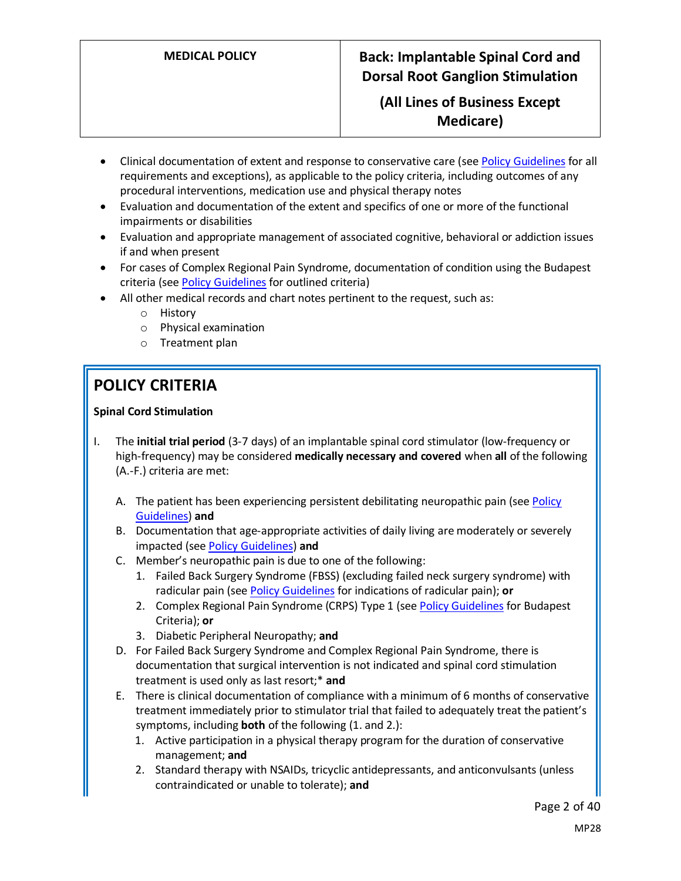## **(All Lines of Business Except Medicare)**

- Clinical documentation of extent and response to conservative care (see Policy Guidelines for all requirements and exceptions), as applicable to the policy criteria, including outcomes of any procedural interventions, medication use and physical therapy notes
- Evaluation and documentation of the extent and specifics of one or more of the functional impairments or disabilities
- Evaluation and appropriate management of associated cognitive, behavioral or addiction issues if and when present
- For cases of Complex Regional Pain Syndrome, documentation of condition using the Budapest criteria (se[e Policy Guidelines](#page-4-0) for outlined criteria)
- All other medical records and chart notes pertinent to the request, such as:
	- o History
	- o Physical examination
	- o Treatment plan

# **POLICY CRITERIA**

### **Spinal Cord Stimulation**

- I. The **initial trial period** (3-7 days) of an implantable spinal cord stimulator (low-frequency or high-frequency) may be considered **medically necessary and covered** when **all** of the following (A.-F.) criteria are met:
	- A. The patient has been experiencing persistent debilitating neuropathic pain (see Policy Guidelines) **and**
	- B. Documentation that age-appropriate activities of daily living are moderately or severely impacted (se[e Policy Guidelines\)](#page-4-1) **and**
	- C. Member's neuropathic pain is due to one of the following:
		- 1. Failed Back Surgery Syndrome (FBSS) (excluding failed neck surgery syndrome) with radicular pain (see [Policy Guidelines](#page-5-0) for indications of radicular pain); **or**
		- 2. Complex Regional Pain Syndrome (CRPS) Type 1 (se[e Policy Guidelines](#page-4-0) for Budapest Criteria); **or**
		- 3. Diabetic Peripheral Neuropathy; **and**
	- D. For Failed Back Surgery Syndrome and Complex Regional Pain Syndrome, there is documentation that surgical intervention is not indicated and spinal cord stimulation treatment is used only as last resort;\* **and**
	- E. There is clinical documentation of compliance with a minimum of 6 months of conservative treatment immediately prior to stimulator trial that failed to adequately treat the patient's symptoms, including **both** of the following (1. and 2.):
		- 1. Active participation in a physical therapy program for the duration of conservative management; **and**
		- 2. Standard therapy with NSAIDs, tricyclic antidepressants, and anticonvulsants (unless contraindicated or unable to tolerate); **and**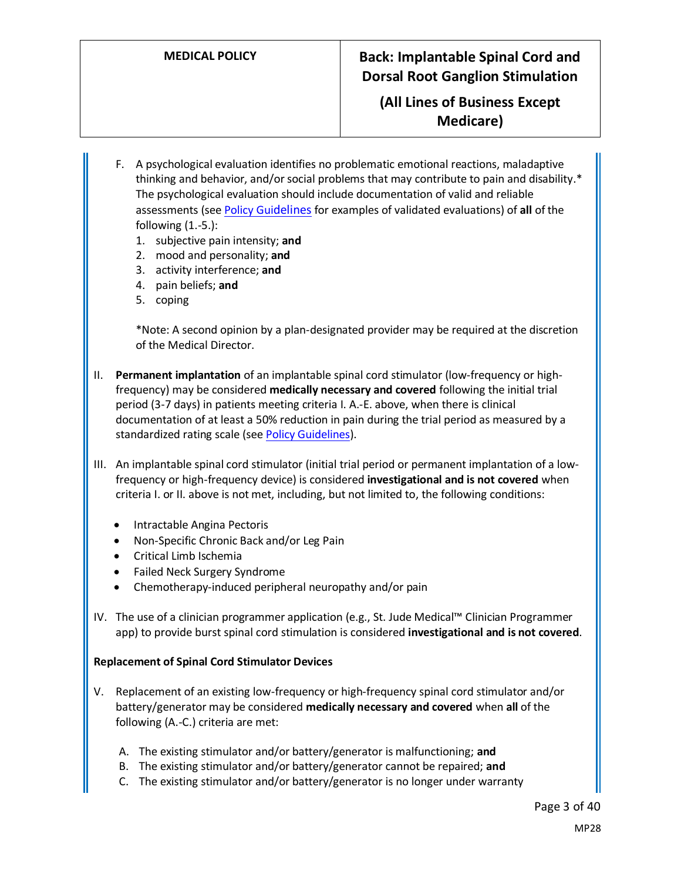## **(All Lines of Business Except Medicare)**

- F. A psychological evaluation identifies no problematic emotional reactions, maladaptive thinking and behavior, and/or social problems that may contribute to pain and disability.\* The psychological evaluation should include documentation of valid and reliable assessments (se[e Policy Gui](#page-5-1)[delines](#page-5-1) for examples of validated evaluations) of **all** of the following  $(1.-5.):$ 
	- 1. subjective pain intensity; **and**
	- 2. mood and personality; **and**
	- 3. activity interference; **and**
	- 4. pain beliefs; **and**
	- 5. coping

\*Note: A second opinion by a plan-designated provider may be required at the discretion of the Medical Director.

- II. **Permanent implantation** of an implantable spinal cord stimulator (low-frequency or highfrequency) may be considered **medically necessary and covered** following the initial trial period (3-7 days) in patients meeting criteria I. A.-E. above, when there is clinical documentation of at least a 50% reduction in pain during the trial period as measured by a standardized rating scale (see Policy Guidelines).
- III. An implantable spinal cord stimulator (initial trial period or permanent implantation of a lowfrequency or high-frequency device) is considered **investigational and is not covered** when criteria I. or II. above is not met, including, but not limited to, the following conditions:
	- Intractable Angina Pectoris
	- Non-Specific Chronic Back and/or Leg Pain
	- Critical Limb Ischemia
	- Failed Neck Surgery Syndrome
	- Chemotherapy-induced peripheral neuropathy and/or pain
- IV. The use of a clinician programmer application (e.g., St. Jude Medical™ Clinician Programmer app) to provide burst spinal cord stimulation is considered **investigational and is not covered**.

#### **Replacement of Spinal Cord Stimulator Devices**

- V. Replacement of an existing low-frequency or high-frequency spinal cord stimulator and/or battery/generator may be considered **medically necessary and covered** when **all** of the following (A.-C.) criteria are met:
	- A. The existing stimulator and/or battery/generator is malfunctioning; **and**
	- B. The existing stimulator and/or battery/generator cannot be repaired; **and**
	- C. The existing stimulator and/or battery/generator is no longer under warranty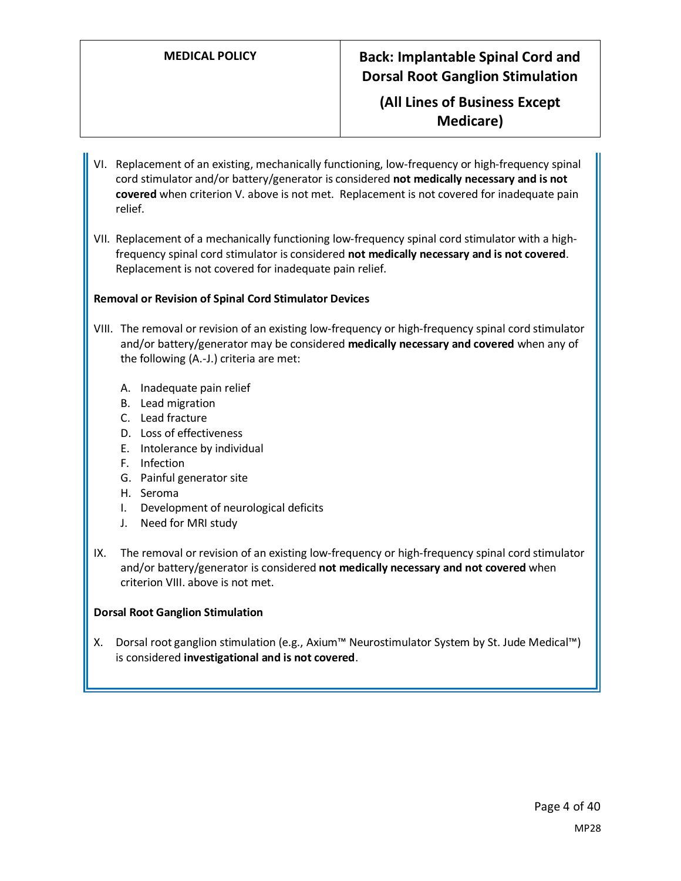## **(All Lines of Business Except Medicare)**

- VI. Replacement of an existing, mechanically functioning, low-frequency or high-frequency spinal cord stimulator and/or battery/generator is considered **not medically necessary and is not covered** when criterion V. above is not met. Replacement is not covered for inadequate pain relief.
- VII. Replacement of a mechanically functioning low-frequency spinal cord stimulator with a highfrequency spinal cord stimulator is considered **not medically necessary and is not covered**. Replacement is not covered for inadequate pain relief.

#### **Removal or Revision of Spinal Cord Stimulator Devices**

- VIII. The removal or revision of an existing low-frequency or high-frequency spinal cord stimulator and/or battery/generator may be considered **medically necessary and covered** when any of the following (A.-J.) criteria are met:
	- A. Inadequate pain relief
	- B. Lead migration
	- C. Lead fracture
	- D. Loss of effectiveness
	- E. Intolerance by individual
	- F. Infection
	- G. Painful generator site
	- H. Seroma
	- I. Development of neurological deficits
	- J. Need for MRI study
- IX. The removal or revision of an existing low-frequency or high-frequency spinal cord stimulator and/or battery/generator is considered **not medically necessary and not covered** when criterion VIII. above is not met.

#### **Dorsal Root Ganglion Stimulation**

X. Dorsal root ganglion stimulation (e.g., Axium™ Neurostimulator System by St. Jude Medical™) is considered **investigational and is not covered**.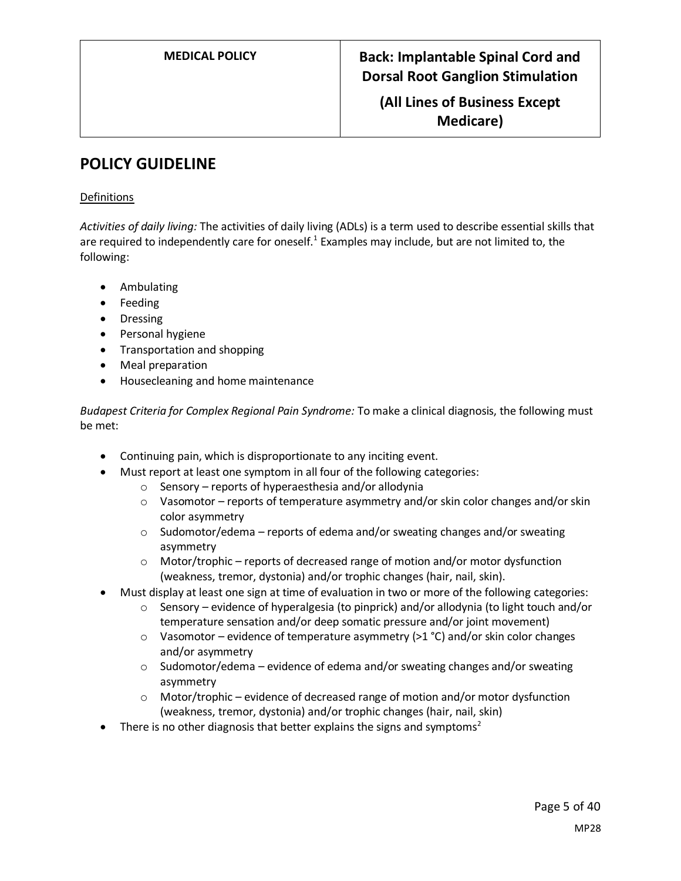**(All Lines of Business Except Medicare)**

# **POLICY GUIDELINE**

### Definitions

<span id="page-4-1"></span>*Activities of daily living:* The activities of daily living (ADLs) is a term used to describe essential skills that are required to independently care for oneself.<sup>1</sup> Examples may include, but are not limited to, the following:

- Ambulating
- Feeding
- Dressing
- Personal hygiene
- Transportation and shopping
- Meal preparation
- Housecleaning and home maintenance

<span id="page-4-0"></span>*Budapest Criteria for Complex Regional Pain Syndrome:* To make a clinical diagnosis, the following must be met:

- Continuing pain, which is disproportionate to any inciting event.
- Must report at least one symptom in all four of the following categories:
	- o Sensory reports of hyperaesthesia and/or allodynia
	- $\circ$  Vasomotor reports of temperature asymmetry and/or skin color changes and/or skin color asymmetry
	- $\circ$  Sudomotor/edema reports of edema and/or sweating changes and/or sweating asymmetry
	- o Motor/trophic reports of decreased range of motion and/or motor dysfunction (weakness, tremor, dystonia) and/or trophic changes (hair, nail, skin).
- Must display at least one sign at time of evaluation in two or more of the following categories:
	- $\circ$  Sensory evidence of hyperalgesia (to pinprick) and/or allodynia (to light touch and/or temperature sensation and/or deep somatic pressure and/or joint movement)
	- $\circ$  Vasomotor evidence of temperature asymmetry (>1 °C) and/or skin color changes and/or asymmetry
	- $\circ$  Sudomotor/edema evidence of edema and/or sweating changes and/or sweating asymmetry
	- o Motor/trophic evidence of decreased range of motion and/or motor dysfunction (weakness, tremor, dystonia) and/or trophic changes (hair, nail, skin)
- There is no other diagnosis that better explains the signs and symptoms<sup>2</sup>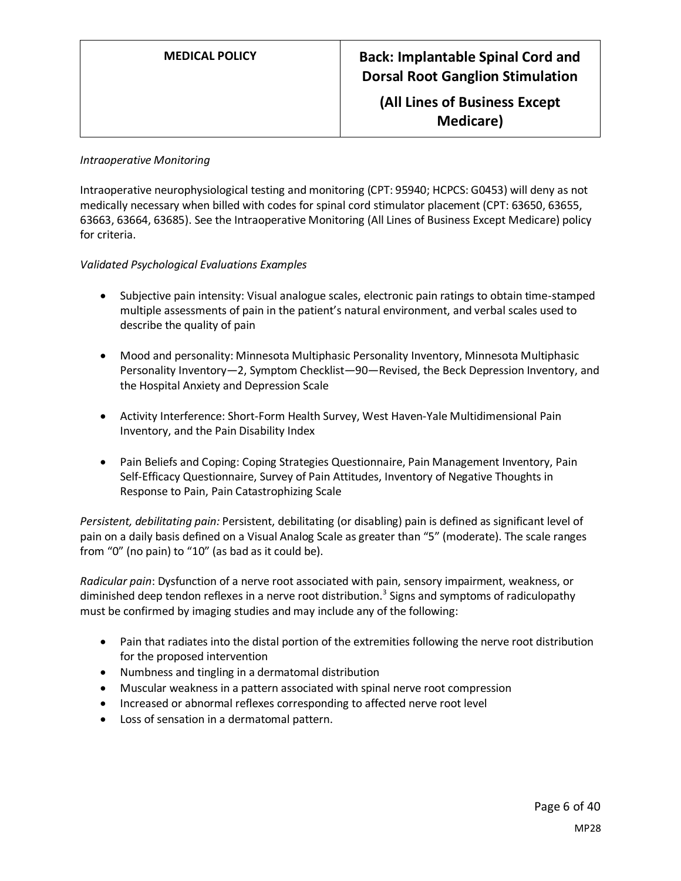**(All Lines of Business Except Medicare)**

#### *Intraoperative Monitoring*

Intraoperative neurophysiological testing and monitoring (CPT: 95940; HCPCS: G0453) will deny as not medically necessary when billed with codes for spinal cord stimulator placement (CPT: 63650, 63655, 63663, 63664, 63685). See the Intraoperative Monitoring (All Lines of Business Except Medicare) policy for criteria.

### <span id="page-5-1"></span>*Validated Psychological Evaluations Examples*

- Subjective pain intensity: Visual analogue scales, electronic pain ratings to obtain time-stamped multiple assessments of pain in the patient's natural environment, and verbal scales used to describe the quality of pain
- Mood and personality: Minnesota Multiphasic Personality Inventory, Minnesota Multiphasic Personality Inventory—2, Symptom Checklist—90—Revised, the Beck Depression Inventory, and the Hospital Anxiety and Depression Scale
- Activity Interference: Short-Form Health Survey, West Haven-Yale Multidimensional Pain Inventory, and the Pain Disability Index
- Pain Beliefs and Coping: Coping Strategies Questionnaire, Pain Management Inventory, Pain Self-Efficacy Questionnaire, Survey of Pain Attitudes, Inventory of Negative Thoughts in Response to Pain, Pain Catastrophizing Scale

*Persistent, debilitating pain:* Persistent, debilitating (or disabling) pain is defined as significant level of pain on a daily basis defined on a Visual Analog Scale as greater than "5" (moderate). The scale ranges from "0" (no pain) to "10" (as bad as it could be).

<span id="page-5-0"></span>*Radicular pain*: Dysfunction of a nerve root associated with pain, sensory impairment, weakness, or diminished deep tendon reflexes in a nerve root distribution.<sup>3</sup> Signs and symptoms of radiculopathy must be confirmed by imaging studies and may include any of the following:

- Pain that radiates into the distal portion of the extremities following the nerve root distribution for the proposed intervention
- Numbness and tingling in a dermatomal distribution
- Muscular weakness in a pattern associated with spinal nerve root compression
- Increased or abnormal reflexes corresponding to affected nerve root level
- Loss of sensation in a dermatomal pattern.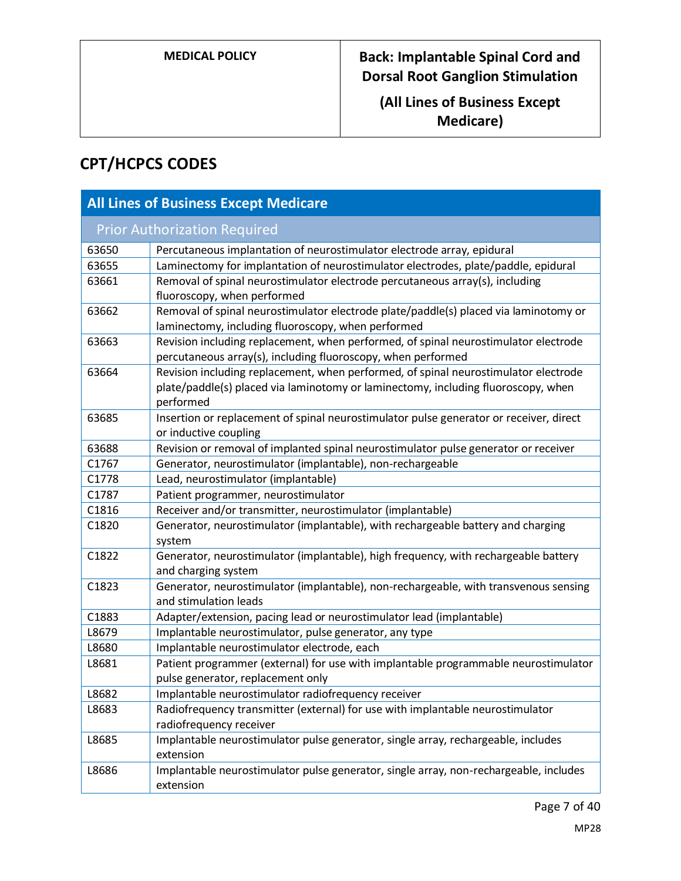**(All Lines of Business Except Medicare)**

# **CPT/HCPCS CODES**

| <b>All Lines of Business Except Medicare</b> |                                                                                                                                                                                       |  |
|----------------------------------------------|---------------------------------------------------------------------------------------------------------------------------------------------------------------------------------------|--|
|                                              | <b>Prior Authorization Required</b>                                                                                                                                                   |  |
| 63650                                        | Percutaneous implantation of neurostimulator electrode array, epidural                                                                                                                |  |
| 63655                                        | Laminectomy for implantation of neurostimulator electrodes, plate/paddle, epidural                                                                                                    |  |
| 63661                                        | Removal of spinal neurostimulator electrode percutaneous array(s), including<br>fluoroscopy, when performed                                                                           |  |
| 63662                                        | Removal of spinal neurostimulator electrode plate/paddle(s) placed via laminotomy or<br>laminectomy, including fluoroscopy, when performed                                            |  |
| 63663                                        | Revision including replacement, when performed, of spinal neurostimulator electrode<br>percutaneous array(s), including fluoroscopy, when performed                                   |  |
| 63664                                        | Revision including replacement, when performed, of spinal neurostimulator electrode<br>plate/paddle(s) placed via laminotomy or laminectomy, including fluoroscopy, when<br>performed |  |
| 63685                                        | Insertion or replacement of spinal neurostimulator pulse generator or receiver, direct<br>or inductive coupling                                                                       |  |
| 63688                                        | Revision or removal of implanted spinal neurostimulator pulse generator or receiver                                                                                                   |  |
| C1767                                        | Generator, neurostimulator (implantable), non-rechargeable                                                                                                                            |  |
| C1778                                        | Lead, neurostimulator (implantable)                                                                                                                                                   |  |
| C1787                                        | Patient programmer, neurostimulator                                                                                                                                                   |  |
| C1816                                        | Receiver and/or transmitter, neurostimulator (implantable)                                                                                                                            |  |
| C1820                                        | Generator, neurostimulator (implantable), with rechargeable battery and charging<br>system                                                                                            |  |
| C1822                                        | Generator, neurostimulator (implantable), high frequency, with rechargeable battery<br>and charging system                                                                            |  |
| C1823                                        | Generator, neurostimulator (implantable), non-rechargeable, with transvenous sensing<br>and stimulation leads                                                                         |  |
| C1883                                        | Adapter/extension, pacing lead or neurostimulator lead (implantable)                                                                                                                  |  |
| L8679                                        | Implantable neurostimulator, pulse generator, any type                                                                                                                                |  |
| L8680                                        | Implantable neurostimulator electrode, each                                                                                                                                           |  |
| L8681                                        | Patient programmer (external) for use with implantable programmable neurostimulator<br>pulse generator, replacement only                                                              |  |
| L8682                                        | Implantable neurostimulator radiofrequency receiver                                                                                                                                   |  |
| L8683                                        | Radiofrequency transmitter (external) for use with implantable neurostimulator<br>radiofrequency receiver                                                                             |  |
| L8685                                        | Implantable neurostimulator pulse generator, single array, rechargeable, includes<br>extension                                                                                        |  |
| L8686                                        | Implantable neurostimulator pulse generator, single array, non-rechargeable, includes<br>extension                                                                                    |  |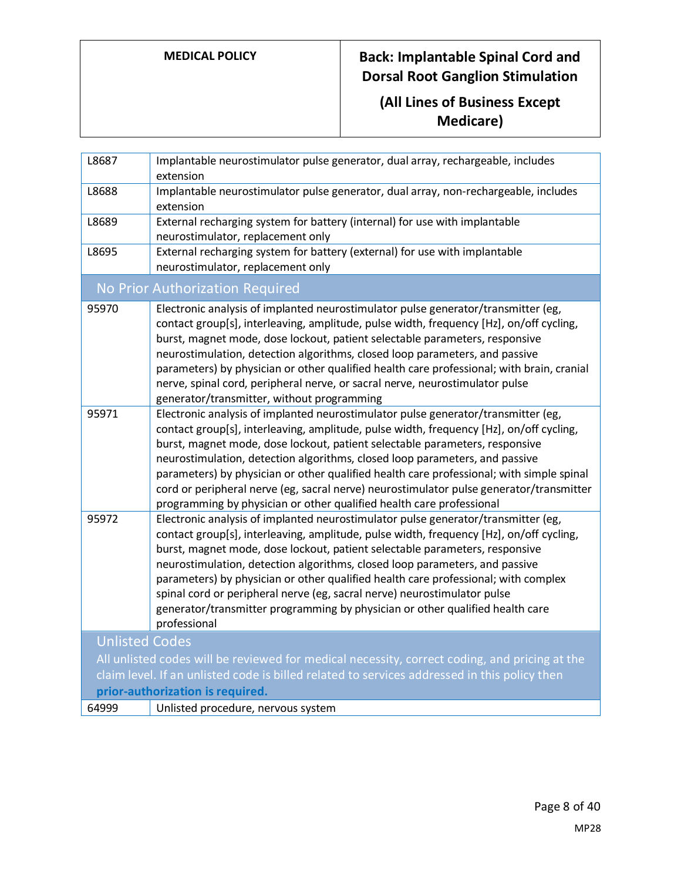# **(All Lines of Business Except Medicare)**

| Implantable neurostimulator pulse generator, dual array, non-rechargeable, includes                                                                                                                                                                                            |
|--------------------------------------------------------------------------------------------------------------------------------------------------------------------------------------------------------------------------------------------------------------------------------|
|                                                                                                                                                                                                                                                                                |
|                                                                                                                                                                                                                                                                                |
|                                                                                                                                                                                                                                                                                |
| contact group[s], interleaving, amplitude, pulse width, frequency [Hz], on/off cycling,<br>parameters) by physician or other qualified health care professional; with brain, cranial                                                                                           |
| contact group[s], interleaving, amplitude, pulse width, frequency [Hz], on/off cycling,<br>parameters) by physician or other qualified health care professional; with simple spinal<br>cord or peripheral nerve (eg, sacral nerve) neurostimulator pulse generator/transmitter |
| contact group[s], interleaving, amplitude, pulse width, frequency [Hz], on/off cycling,                                                                                                                                                                                        |
|                                                                                                                                                                                                                                                                                |
| All unlisted codes will be reviewed for medical necessity, correct coding, and pricing at the                                                                                                                                                                                  |
|                                                                                                                                                                                                                                                                                |
|                                                                                                                                                                                                                                                                                |
|                                                                                                                                                                                                                                                                                |
|                                                                                                                                                                                                                                                                                |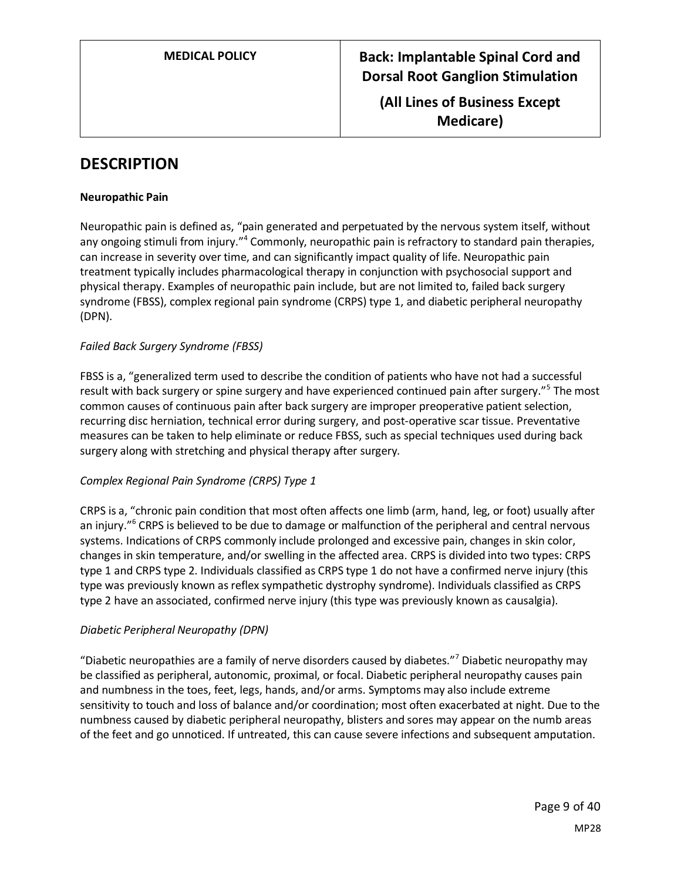**(All Lines of Business Except Medicare)**

## **DESCRIPTION**

#### **Neuropathic Pain**

Neuropathic pain is defined as, "pain generated and perpetuated by the nervous system itself, without any ongoing stimuli from injury."<sup>4</sup> Commonly, neuropathic pain is refractory to standard pain therapies, can increase in severity over time, and can significantly impact quality of life. Neuropathic pain treatment typically includes pharmacological therapy in conjunction with psychosocial support and physical therapy. Examples of neuropathic pain include, but are not limited to, failed back surgery syndrome (FBSS), complex regional pain syndrome (CRPS) type 1, and diabetic peripheral neuropathy (DPN).

### *Failed Back Surgery Syndrome (FBSS)*

FBSS is a, "generalized term used to describe the condition of patients who have not had a successful result with back surgery or spine surgery and have experienced continued pain after surgery."<sup>5</sup> The most common causes of continuous pain after back surgery are improper preoperative patient selection, recurring disc herniation, technical error during surgery, and post-operative scar tissue. Preventative measures can be taken to help eliminate or reduce FBSS, such as special techniques used during back surgery along with stretching and physical therapy after surgery.

### *Complex Regional Pain Syndrome (CRPS) Type 1*

CRPS is a, "chronic pain condition that most often affects one limb (arm, hand, leg, or foot) usually after an injury."<sup>6</sup> CRPS is believed to be due to damage or malfunction of the peripheral and central nervous systems. Indications of CRPS commonly include prolonged and excessive pain, changes in skin color, changes in skin temperature, and/or swelling in the affected area. CRPS is divided into two types: CRPS type 1 and CRPS type 2. Individuals classified as CRPS type 1 do not have a confirmed nerve injury (this type was previously known as reflex sympathetic dystrophy syndrome). Individuals classified as CRPS type 2 have an associated, confirmed nerve injury (this type was previously known as causalgia).

### *Diabetic Peripheral Neuropathy (DPN)*

"Diabetic neuropathies are a family of nerve disorders caused by diabetes."<sup>7</sup> Diabetic neuropathy may be classified as peripheral, autonomic, proximal, or focal. Diabetic peripheral neuropathy causes pain and numbness in the toes, feet, legs, hands, and/or arms. Symptoms may also include extreme sensitivity to touch and loss of balance and/or coordination; most often exacerbated at night. Due to the numbness caused by diabetic peripheral neuropathy, blisters and sores may appear on the numb areas of the feet and go unnoticed. If untreated, this can cause severe infections and subsequent amputation.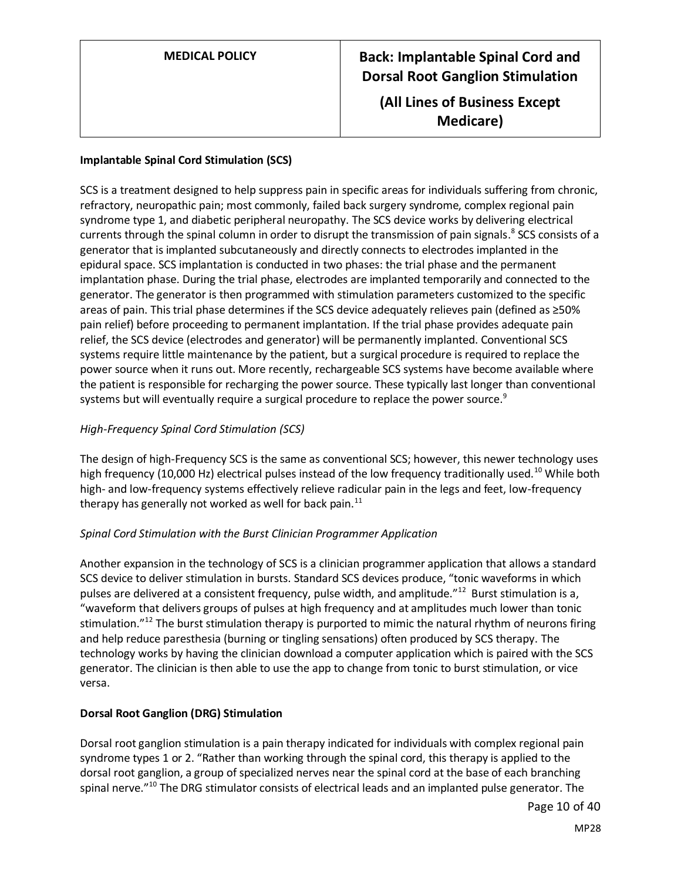| <b>MEDICAL POLICY</b> | <b>Back: Implantable Spinal Cord and</b><br><b>Dorsal Root Ganglion Stimulation</b> |
|-----------------------|-------------------------------------------------------------------------------------|
|                       | (All Lines of Business Except<br><b>Medicare</b> )                                  |

### **Implantable Spinal Cord Stimulation (SCS)**

SCS is a treatment designed to help suppress pain in specific areas for individuals suffering from chronic, refractory, neuropathic pain; most commonly, failed back surgery syndrome, complex regional pain syndrome type 1, and diabetic peripheral neuropathy. The SCS device works by delivering electrical currents through the spinal column in order to disrupt the transmission of pain signals.<sup>8</sup> SCS consists of a generator that is implanted subcutaneously and directly connects to electrodes implanted in the epidural space. SCS implantation is conducted in two phases: the trial phase and the permanent implantation phase. During the trial phase, electrodes are implanted temporarily and connected to the generator. The generator is then programmed with stimulation parameters customized to the specific areas of pain. This trial phase determines if the SCS device adequately relieves pain (defined as ≥50% pain relief) before proceeding to permanent implantation. If the trial phase provides adequate pain relief, the SCS device (electrodes and generator) will be permanently implanted. Conventional SCS systems require little maintenance by the patient, but a surgical procedure is required to replace the power source when it runs out. More recently, rechargeable SCS systems have become available where the patient is responsible for recharging the power source. These typically last longer than conventional systems but will eventually require a surgical procedure to replace the power source. $^9$ 

### *High-Frequency Spinal Cord Stimulation (SCS)*

The design of high-Frequency SCS is the same as conventional SCS; however, this newer technology uses high frequency (10,000 Hz) electrical pulses instead of the low frequency traditionally used.<sup>10</sup> While both high- and low-frequency systems effectively relieve radicular pain in the legs and feet, low-frequency therapy has generally not worked as well for back pain. $^{11}$ 

#### *Spinal Cord Stimulation with the Burst Clinician Programmer Application*

Another expansion in the technology of SCS is a clinician programmer application that allows a standard SCS device to deliver stimulation in bursts. Standard SCS devices produce, "tonic waveforms in which pulses are delivered at a consistent frequency, pulse width, and amplitude."<sup>12</sup> Burst stimulation is a, "waveform that delivers groups of pulses at high frequency and at amplitudes much lower than tonic stimulation."<sup>12</sup> The burst stimulation therapy is purported to mimic the natural rhythm of neurons firing and help reduce paresthesia (burning or tingling sensations) often produced by SCS therapy. The technology works by having the clinician download a computer application which is paired with the SCS generator. The clinician is then able to use the app to change from tonic to burst stimulation, or vice versa.

#### **Dorsal Root Ganglion (DRG) Stimulation**

Dorsal root ganglion stimulation is a pain therapy indicated for individuals with complex regional pain syndrome types 1 or 2. "Rather than working through the spinal cord, this therapy is applied to the dorsal root ganglion, a group of specialized nerves near the spinal cord at the base of each branching spinal nerve."<sup>10</sup> The DRG stimulator consists of electrical leads and an implanted pulse generator. The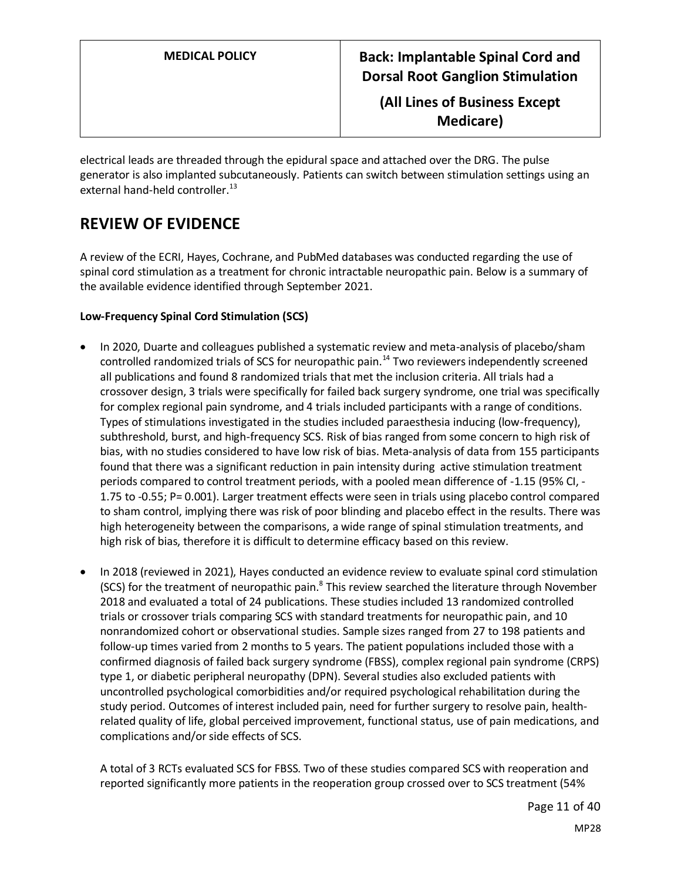**(All Lines of Business Except Medicare)**

electrical leads are threaded through the epidural space and attached over the DRG. The pulse generator is also implanted subcutaneously. Patients can switch between stimulation settings using an external hand-held controller.<sup>13</sup>

# **REVIEW OF EVIDENCE**

A review of the ECRI, Hayes, Cochrane, and PubMed databases was conducted regarding the use of spinal cord stimulation as a treatment for chronic intractable neuropathic pain. Below is a summary of the available evidence identified through September 2021.

### **Low-Frequency Spinal Cord Stimulation (SCS)**

- In 2020, Duarte and colleagues published a systematic review and meta-analysis of placebo/sham controlled randomized trials of SCS for neuropathic pain.<sup>14</sup> Two reviewers independently screened all publications and found 8 randomized trials that met the inclusion criteria. All trials had a crossover design, 3 trials were specifically for failed back surgery syndrome, one trial was specifically for complex regional pain syndrome, and 4 trials included participants with a range of conditions. Types of stimulations investigated in the studies included paraesthesia inducing (low-frequency), subthreshold, burst, and high-frequency SCS. Risk of bias ranged from some concern to high risk of bias, with no studies considered to have low risk of bias. Meta-analysis of data from 155 participants found that there was a significant reduction in pain intensity during active stimulation treatment periods compared to control treatment periods, with a pooled mean difference of -1.15 (95% CI, - 1.75 to -0.55; P= 0.001). Larger treatment effects were seen in trials using placebo control compared to sham control, implying there was risk of poor blinding and placebo effect in the results. There was high heterogeneity between the comparisons, a wide range of spinal stimulation treatments, and high risk of bias, therefore it is difficult to determine efficacy based on this review.
- In 2018 (reviewed in 2021), Hayes conducted an evidence review to evaluate spinal cord stimulation (SCS) for the treatment of neuropathic pain.<sup>8</sup> This review searched the literature through November 2018 and evaluated a total of 24 publications. These studies included 13 randomized controlled trials or crossover trials comparing SCS with standard treatments for neuropathic pain, and 10 nonrandomized cohort or observational studies. Sample sizes ranged from 27 to 198 patients and follow-up times varied from 2 months to 5 years. The patient populations included those with a confirmed diagnosis of failed back surgery syndrome (FBSS), complex regional pain syndrome (CRPS) type 1, or diabetic peripheral neuropathy (DPN). Several studies also excluded patients with uncontrolled psychological comorbidities and/or required psychological rehabilitation during the study period. Outcomes of interest included pain, need for further surgery to resolve pain, healthrelated quality of life, global perceived improvement, functional status, use of pain medications, and complications and/or side effects of SCS.

A total of 3 RCTs evaluated SCS for FBSS. Two of these studies compared SCS with reoperation and reported significantly more patients in the reoperation group crossed over to SCS treatment (54%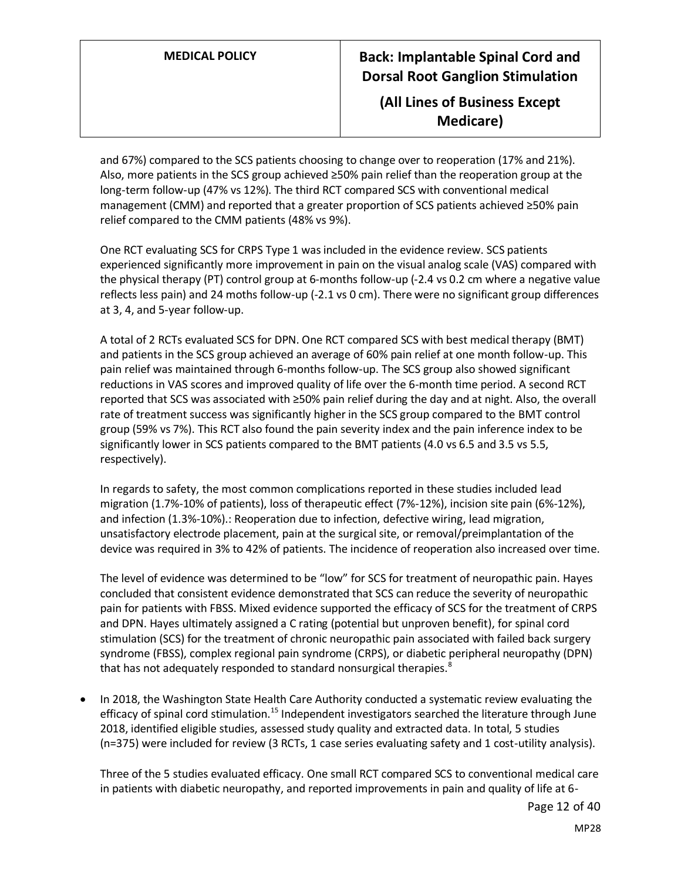## **(All Lines of Business Except Medicare)**

and 67%) compared to the SCS patients choosing to change over to reoperation (17% and 21%). Also, more patients in the SCS group achieved ≥50% pain relief than the reoperation group at the long-term follow-up (47% vs 12%). The third RCT compared SCS with conventional medical management (CMM) and reported that a greater proportion of SCS patients achieved ≥50% pain relief compared to the CMM patients (48% vs 9%).

One RCT evaluating SCS for CRPS Type 1 was included in the evidence review. SCS patients experienced significantly more improvement in pain on the visual analog scale (VAS) compared with the physical therapy (PT) control group at 6-months follow-up (-2.4 vs 0.2 cm where a negative value reflects less pain) and 24 moths follow-up (-2.1 vs 0 cm). There were no significant group differences at 3, 4, and 5-year follow-up.

A total of 2 RCTs evaluated SCS for DPN. One RCT compared SCS with best medical therapy (BMT) and patients in the SCS group achieved an average of 60% pain relief at one month follow-up. This pain relief was maintained through 6-months follow-up. The SCS group also showed significant reductions in VAS scores and improved quality of life over the 6-month time period. A second RCT reported that SCS was associated with ≥50% pain relief during the day and at night. Also, the overall rate of treatment success was significantly higher in the SCS group compared to the BMT control group (59% vs 7%). This RCT also found the pain severity index and the pain inference index to be significantly lower in SCS patients compared to the BMT patients (4.0 vs 6.5 and 3.5 vs 5.5, respectively).

In regards to safety, the most common complications reported in these studies included lead migration (1.7%-10% of patients), loss of therapeutic effect (7%-12%), incision site pain (6%-12%), and infection (1.3%-10%).: Reoperation due to infection, defective wiring, lead migration, unsatisfactory electrode placement, pain at the surgical site, or removal/preimplantation of the device was required in 3% to 42% of patients. The incidence of reoperation also increased over time.

The level of evidence was determined to be "low" for SCS for treatment of neuropathic pain. Hayes concluded that consistent evidence demonstrated that SCS can reduce the severity of neuropathic pain for patients with FBSS. Mixed evidence supported the efficacy of SCS for the treatment of CRPS and DPN. Hayes ultimately assigned a C rating (potential but unproven benefit), for spinal cord stimulation (SCS) for the treatment of chronic neuropathic pain associated with failed back surgery syndrome (FBSS), complex regional pain syndrome (CRPS), or diabetic peripheral neuropathy (DPN) that has not adequately responded to standard nonsurgical therapies. $8<sup>8</sup>$ 

• In 2018, the Washington State Health Care Authority conducted a systematic review evaluating the efficacy of spinal cord stimulation.<sup>15</sup> Independent investigators searched the literature through June 2018, identified eligible studies, assessed study quality and extracted data. In total, 5 studies (n=375) were included for review (3 RCTs, 1 case series evaluating safety and 1 cost-utility analysis).

Three of the 5 studies evaluated efficacy. One small RCT compared SCS to conventional medical care in patients with diabetic neuropathy, and reported improvements in pain and quality of life at 6-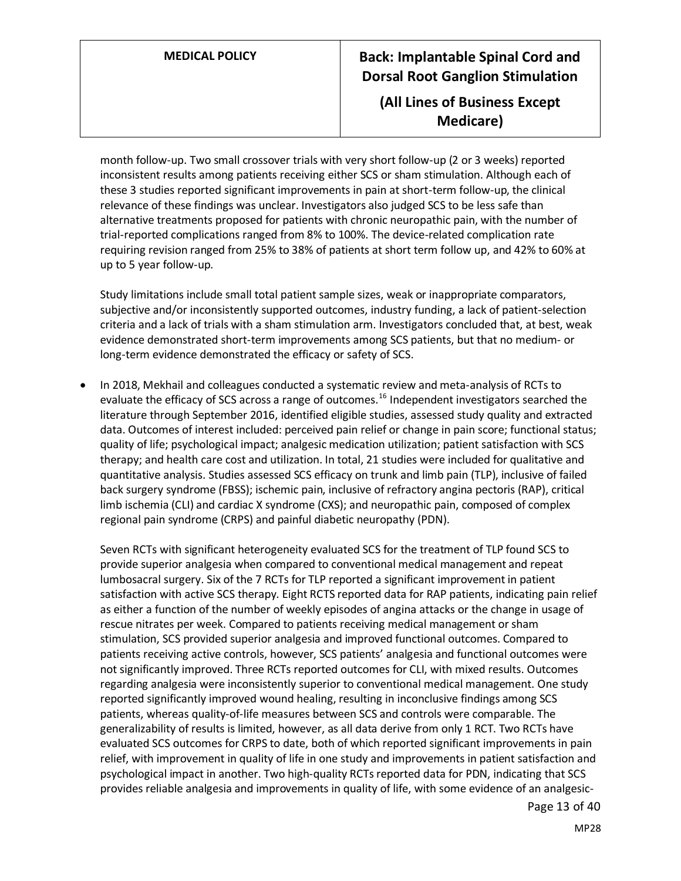## **(All Lines of Business Except Medicare)**

month follow-up. Two small crossover trials with very short follow-up (2 or 3 weeks) reported inconsistent results among patients receiving either SCS or sham stimulation. Although each of these 3 studies reported significant improvements in pain at short-term follow-up, the clinical relevance of these findings was unclear. Investigators also judged SCS to be less safe than alternative treatments proposed for patients with chronic neuropathic pain, with the number of trial-reported complications ranged from 8% to 100%. The device-related complication rate requiring revision ranged from 25% to 38% of patients at short term follow up, and 42% to 60% at up to 5 year follow-up.

Study limitations include small total patient sample sizes, weak or inappropriate comparators, subjective and/or inconsistently supported outcomes, industry funding, a lack of patient-selection criteria and a lack of trials with a sham stimulation arm. Investigators concluded that, at best, weak evidence demonstrated short-term improvements among SCS patients, but that no medium- or long-term evidence demonstrated the efficacy or safety of SCS.

• In 2018, Mekhail and colleagues conducted a systematic review and meta-analysis of RCTs to evaluate the efficacy of SCS across a range of outcomes.<sup>16</sup> Independent investigators searched the literature through September 2016, identified eligible studies, assessed study quality and extracted data. Outcomes of interest included: perceived pain relief or change in pain score; functional status; quality of life; psychological impact; analgesic medication utilization; patient satisfaction with SCS therapy; and health care cost and utilization. In total, 21 studies were included for qualitative and quantitative analysis. Studies assessed SCS efficacy on trunk and limb pain (TLP), inclusive of failed back surgery syndrome (FBSS); ischemic pain, inclusive of refractory angina pectoris (RAP), critical limb ischemia (CLI) and cardiac X syndrome (CXS); and neuropathic pain, composed of complex regional pain syndrome (CRPS) and painful diabetic neuropathy (PDN).

Seven RCTs with significant heterogeneity evaluated SCS for the treatment of TLP found SCS to provide superior analgesia when compared to conventional medical management and repeat lumbosacral surgery. Six of the 7 RCTs for TLP reported a significant improvement in patient satisfaction with active SCS therapy. Eight RCTS reported data for RAP patients, indicating pain relief as either a function of the number of weekly episodes of angina attacks or the change in usage of rescue nitrates per week. Compared to patients receiving medical management or sham stimulation, SCS provided superior analgesia and improved functional outcomes. Compared to patients receiving active controls, however, SCS patients' analgesia and functional outcomes were not significantly improved. Three RCTs reported outcomes for CLI, with mixed results. Outcomes regarding analgesia were inconsistently superior to conventional medical management. One study reported significantly improved wound healing, resulting in inconclusive findings among SCS patients, whereas quality-of-life measures between SCS and controls were comparable. The generalizability of results is limited, however, as all data derive from only 1 RCT. Two RCTs have evaluated SCS outcomes for CRPS to date, both of which reported significant improvements in pain relief, with improvement in quality of life in one study and improvements in patient satisfaction and psychological impact in another. Two high-quality RCTs reported data for PDN, indicating that SCS provides reliable analgesia and improvements in quality of life, with some evidence of an analgesic-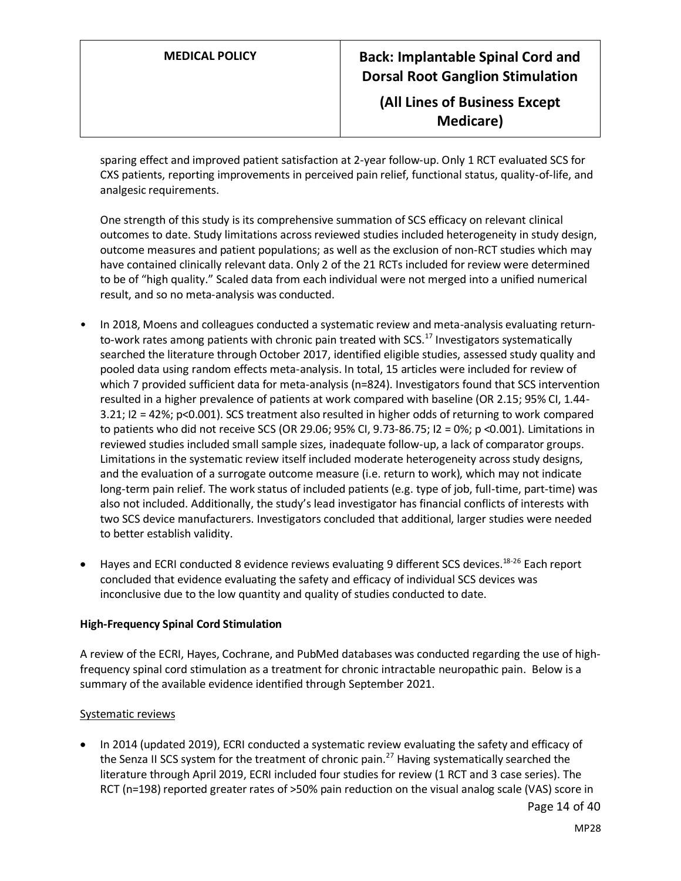**(All Lines of Business Except Medicare)**

sparing effect and improved patient satisfaction at 2-year follow-up. Only 1 RCT evaluated SCS for CXS patients, reporting improvements in perceived pain relief, functional status, quality-of-life, and analgesic requirements.

One strength of this study is its comprehensive summation of SCS efficacy on relevant clinical outcomes to date. Study limitations across reviewed studies included heterogeneity in study design, outcome measures and patient populations; as well as the exclusion of non-RCT studies which may have contained clinically relevant data. Only 2 of the 21 RCTs included for review were determined to be of "high quality." Scaled data from each individual were not merged into a unified numerical result, and so no meta-analysis was conducted.

- In 2018, Moens and colleagues conducted a systematic review and meta-analysis evaluating returnto-work rates among patients with chronic pain treated with SCS.<sup>17</sup> Investigators systematically searched the literature through October 2017, identified eligible studies, assessed study quality and pooled data using random effects meta-analysis. In total, 15 articles were included for review of which 7 provided sufficient data for meta-analysis (n=824). Investigators found that SCS intervention resulted in a higher prevalence of patients at work compared with baseline (OR 2.15; 95% CI, 1.44- 3.21; I2 = 42%; p<0.001). SCS treatment also resulted in higher odds of returning to work compared to patients who did not receive SCS (OR 29.06; 95% CI, 9.73-86.75; I2 = 0%; p <0.001). Limitations in reviewed studies included small sample sizes, inadequate follow-up, a lack of comparator groups. Limitations in the systematic review itself included moderate heterogeneity across study designs, and the evaluation of a surrogate outcome measure (i.e. return to work), which may not indicate long-term pain relief. The work status of included patients (e.g. type of job, full-time, part-time) was also not included. Additionally, the study's lead investigator has financial conflicts of interests with two SCS device manufacturers. Investigators concluded that additional, larger studies were needed to better establish validity.
- Hayes and ECRI conducted 8 evidence reviews evaluating 9 different SCS devices.<sup>18-26</sup> Each report concluded that evidence evaluating the safety and efficacy of individual SCS devices was inconclusive due to the low quantity and quality of studies conducted to date.

#### **High-Frequency Spinal Cord Stimulation**

A review of the ECRI, Hayes, Cochrane, and PubMed databases was conducted regarding the use of highfrequency spinal cord stimulation as a treatment for chronic intractable neuropathic pain. Below is a summary of the available evidence identified through September 2021.

### Systematic reviews

• In 2014 (updated 2019), ECRI conducted a systematic review evaluating the safety and efficacy of the Senza II SCS system for the treatment of chronic pain.<sup>27</sup> Having systematically searched the literature through April 2019, ECRI included four studies for review (1 RCT and 3 case series). The RCT (n=198) reported greater rates of >50% pain reduction on the visual analog scale (VAS) score in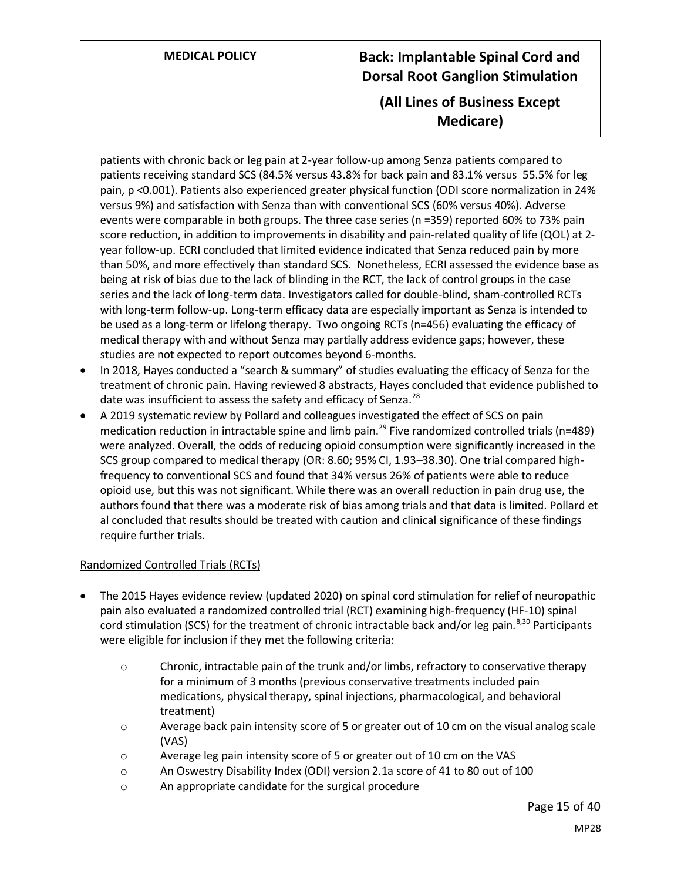## **(All Lines of Business Except Medicare)**

patients with chronic back or leg pain at 2-year follow-up among Senza patients compared to patients receiving standard SCS (84.5% versus 43.8% for back pain and 83.1% versus 55.5% for leg pain, p <0.001). Patients also experienced greater physical function (ODI score normalization in 24% versus 9%) and satisfaction with Senza than with conventional SCS (60% versus 40%). Adverse events were comparable in both groups. The three case series (n =359) reported 60% to 73% pain score reduction, in addition to improvements in disability and pain-related quality of life (QOL) at 2 year follow-up. ECRI concluded that limited evidence indicated that Senza reduced pain by more than 50%, and more effectively than standard SCS. Nonetheless, ECRI assessed the evidence base as being at risk of bias due to the lack of blinding in the RCT, the lack of control groups in the case series and the lack of long-term data. Investigators called for double-blind, sham-controlled RCTs with long-term follow-up. Long-term efficacy data are especially important as Senza is intended to be used as a long-term or lifelong therapy. Two ongoing RCTs (n=456) evaluating the efficacy of medical therapy with and without Senza may partially address evidence gaps; however, these studies are not expected to report outcomes beyond 6-months.

- In 2018, Hayes conducted a "search & summary" of studies evaluating the efficacy of Senza for the treatment of chronic pain. Having reviewed 8 abstracts, Hayes concluded that evidence published to date was insufficient to assess the safety and efficacy of Senza. $^{28}$
- A 2019 systematic review by Pollard and colleagues investigated the effect of SCS on pain medication reduction in intractable spine and limb pain.<sup>29</sup> Five randomized controlled trials (n=489) were analyzed. Overall, the odds of reducing opioid consumption were significantly increased in the SCS group compared to medical therapy (OR: 8.60; 95% CI, 1.93–38.30). One trial compared highfrequency to conventional SCS and found that 34% versus 26% of patients were able to reduce opioid use, but this was not significant. While there was an overall reduction in pain drug use, the authors found that there was a moderate risk of bias among trials and that data is limited. Pollard et al concluded that results should be treated with caution and clinical significance of these findings require further trials.

### Randomized Controlled Trials (RCTs)

- The 2015 Hayes evidence review (updated 2020) on spinal cord stimulation for relief of neuropathic pain also evaluated a randomized controlled trial (RCT) examining high-frequency (HF-10) spinal cord stimulation (SCS) for the treatment of chronic intractable back and/or leg pain.<sup>8,30</sup> Participants were eligible for inclusion if they met the following criteria:
	- o Chronic, intractable pain of the trunk and/or limbs, refractory to conservative therapy for a minimum of 3 months (previous conservative treatments included pain medications, physical therapy, spinal injections, pharmacological, and behavioral treatment)
	- $\circ$  Average back pain intensity score of 5 or greater out of 10 cm on the visual analog scale (VAS)
	- o Average leg pain intensity score of 5 or greater out of 10 cm on the VAS
	- o An Oswestry Disability Index (ODI) version 2.1a score of 41 to 80 out of 100
	- o An appropriate candidate for the surgical procedure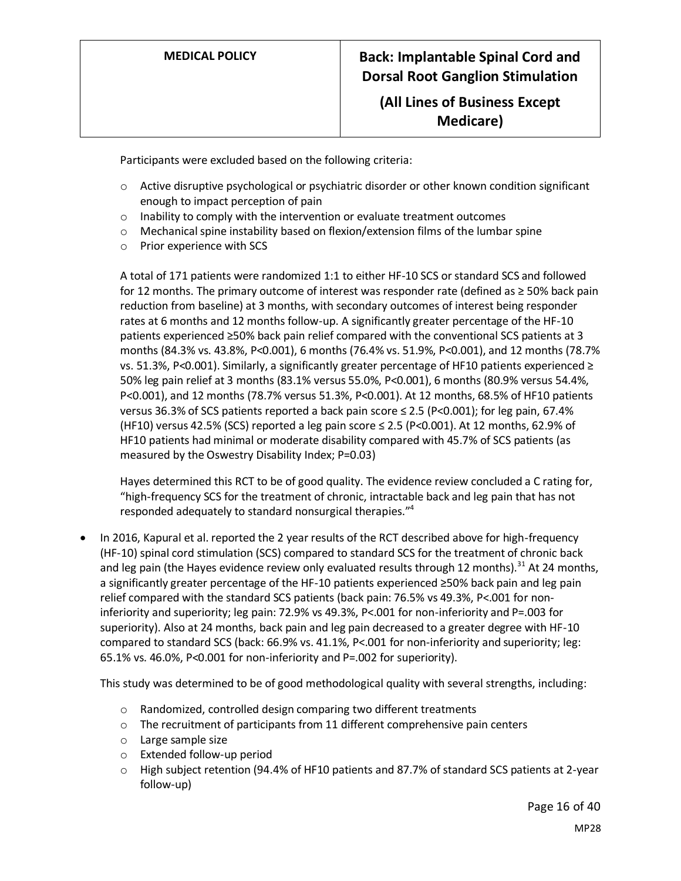**(All Lines of Business Except Medicare)**

Participants were excluded based on the following criteria:

- $\circ$  Active disruptive psychological or psychiatric disorder or other known condition significant enough to impact perception of pain
- o Inability to comply with the intervention or evaluate treatment outcomes
- $\circ$  Mechanical spine instability based on flexion/extension films of the lumbar spine
- o Prior experience with SCS

A total of 171 patients were randomized 1:1 to either HF-10 SCS or standard SCS and followed for 12 months. The primary outcome of interest was responder rate (defined as ≥ 50% back pain reduction from baseline) at 3 months, with secondary outcomes of interest being responder rates at 6 months and 12 months follow-up. A significantly greater percentage of the HF-10 patients experienced ≥50% back pain relief compared with the conventional SCS patients at 3 months (84.3% vs. 43.8%, P<0.001), 6 months (76.4% vs. 51.9%, P<0.001), and 12 months (78.7% vs. 51.3%, P<0.001). Similarly, a significantly greater percentage of HF10 patients experienced ≥ 50% leg pain relief at 3 months (83.1% versus 55.0%, P<0.001), 6 months (80.9% versus 54.4%, P<0.001), and 12 months (78.7% versus 51.3%, P<0.001). At 12 months, 68.5% of HF10 patients versus 36.3% of SCS patients reported a back pain score ≤ 2.5 (P<0.001); for leg pain, 67.4% (HF10) versus 42.5% (SCS) reported a leg pain score  $\leq$  2.5 (P<0.001). At 12 months, 62.9% of HF10 patients had minimal or moderate disability compared with 45.7% of SCS patients (as measured by the Oswestry Disability Index; P=0.03)

Hayes determined this RCT to be of good quality. The evidence review concluded a C rating for, "high-frequency SCS for the treatment of chronic, intractable back and leg pain that has not responded adequately to standard nonsurgical therapies."<sup>4</sup>

• In 2016, Kapural et al. reported the 2 year results of the RCT described above for high-frequency (HF-10) spinal cord stimulation (SCS) compared to standard SCS for the treatment of chronic back and leg pain (the Hayes evidence review only evaluated results through 12 months).<sup>31</sup> At 24 months, a significantly greater percentage of the HF-10 patients experienced ≥50% back pain and leg pain relief compared with the standard SCS patients (back pain: 76.5% vs 49.3%, P<.001 for noninferiority and superiority; leg pain: 72.9% vs 49.3%, P<.001 for non-inferiority and P=.003 for superiority). Also at 24 months, back pain and leg pain decreased to a greater degree with HF-10 compared to standard SCS (back: 66.9% vs. 41.1%, P<.001 for non-inferiority and superiority; leg: 65.1% vs. 46.0%, P<0.001 for non-inferiority and P=.002 for superiority).

This study was determined to be of good methodological quality with several strengths, including:

- o Randomized, controlled design comparing two different treatments
- $\circ$  The recruitment of participants from 11 different comprehensive pain centers
- o Large sample size
- o Extended follow-up period
- o High subject retention (94.4% of HF10 patients and 87.7% of standard SCS patients at 2-year follow-up)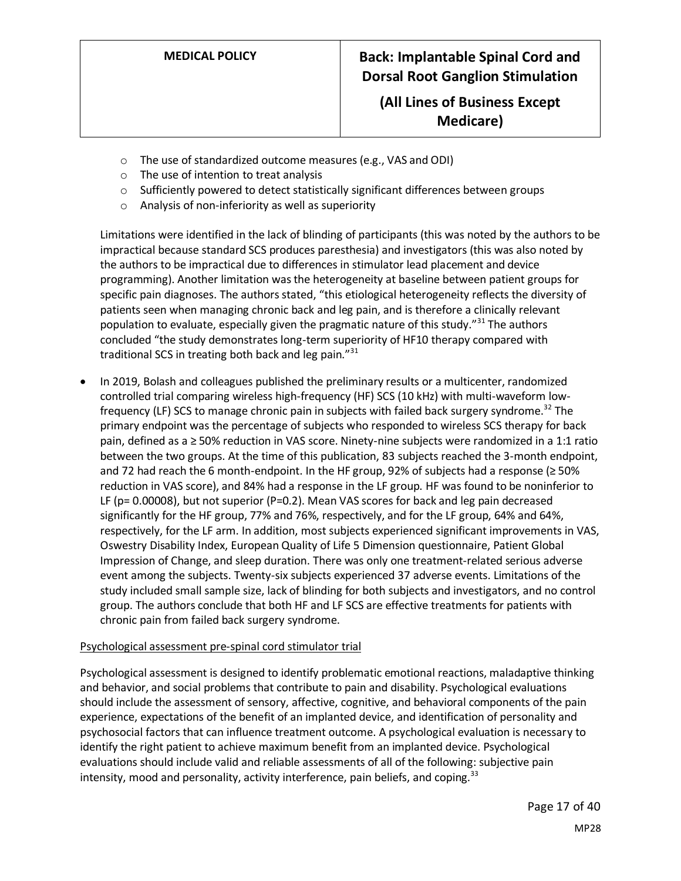## **(All Lines of Business Except Medicare)**

- o The use of standardized outcome measures (e.g., VAS and ODI)
- o The use of intention to treat analysis
- $\circ$  Sufficiently powered to detect statistically significant differences between groups
- o Analysis of non-inferiority as well as superiority

Limitations were identified in the lack of blinding of participants (this was noted by the authors to be impractical because standard SCS produces paresthesia) and investigators (this was also noted by the authors to be impractical due to differences in stimulator lead placement and device programming). Another limitation was the heterogeneity at baseline between patient groups for specific pain diagnoses. The authors stated, "this etiological heterogeneity reflects the diversity of patients seen when managing chronic back and leg pain, and is therefore a clinically relevant population to evaluate, especially given the pragmatic nature of this study."<sup>31</sup> The authors concluded "the study demonstrates long-term superiority of HF10 therapy compared with traditional SCS in treating both back and leg pain."<sup>31</sup>

• In 2019, Bolash and colleagues published the preliminary results or a multicenter, randomized controlled trial comparing wireless high-frequency (HF) SCS (10 kHz) with multi-waveform lowfrequency (LF) SCS to manage chronic pain in subjects with failed back surgery syndrome.<sup>32</sup> The primary endpoint was the percentage of subjects who responded to wireless SCS therapy for back pain, defined as a ≥ 50% reduction in VAS score. Ninety-nine subjects were randomized in a 1:1 ratio between the two groups. At the time of this publication, 83 subjects reached the 3-month endpoint, and 72 had reach the 6 month-endpoint. In the HF group, 92% of subjects had a response (≥ 50% reduction in VAS score), and 84% had a response in the LF group. HF was found to be noninferior to LF (p= 0.00008), but not superior (P=0.2). Mean VAS scores for back and leg pain decreased significantly for the HF group, 77% and 76%, respectively, and for the LF group, 64% and 64%, respectively, for the LF arm. In addition, most subjects experienced significant improvements in VAS, Oswestry Disability Index, European Quality of Life 5 Dimension questionnaire, Patient Global Impression of Change, and sleep duration. There was only one treatment-related serious adverse event among the subjects. Twenty-six subjects experienced 37 adverse events. Limitations of the study included small sample size, lack of blinding for both subjects and investigators, and no control group. The authors conclude that both HF and LF SCS are effective treatments for patients with chronic pain from failed back surgery syndrome.

#### Psychological assessment pre-spinal cord stimulator trial

Psychological assessment is designed to identify problematic emotional reactions, maladaptive thinking and behavior, and social problems that contribute to pain and disability. Psychological evaluations should include the assessment of sensory, affective, cognitive, and behavioral components of the pain experience, expectations of the benefit of an implanted device, and identification of personality and psychosocial factors that can influence treatment outcome. A psychological evaluation is necessary to identify the right patient to achieve maximum benefit from an implanted device. Psychological evaluations should include valid and reliable assessments of all of the following: subjective pain intensity, mood and personality, activity interference, pain beliefs, and coping.<sup>33</sup>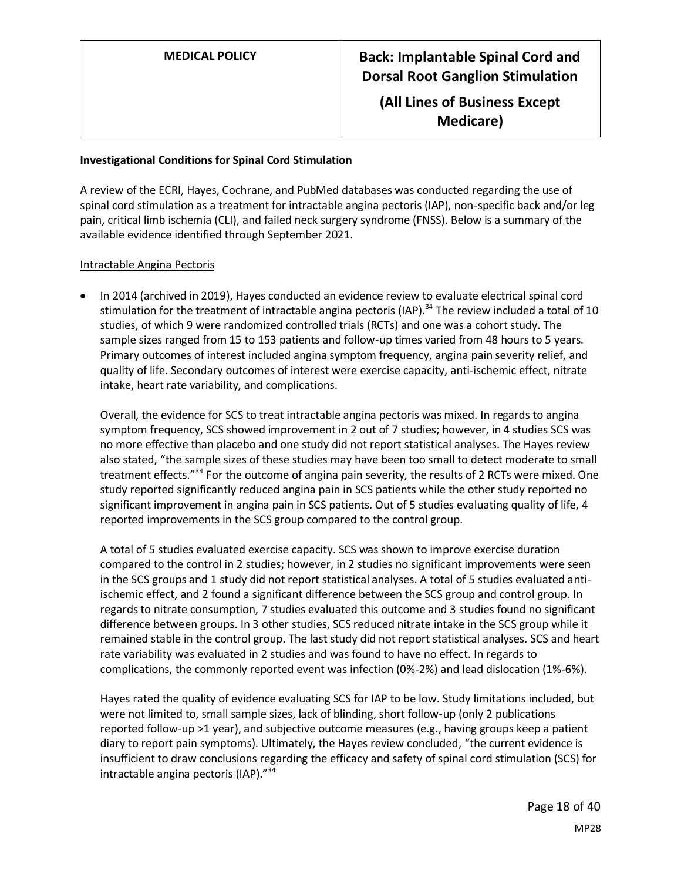**(All Lines of Business Except Medicare)**

#### **Investigational Conditions for Spinal Cord Stimulation**

A review of the ECRI, Hayes, Cochrane, and PubMed databases was conducted regarding the use of spinal cord stimulation as a treatment for intractable angina pectoris (IAP), non-specific back and/or leg pain, critical limb ischemia (CLI), and failed neck surgery syndrome (FNSS). Below is a summary of the available evidence identified through September 2021.

#### Intractable Angina Pectoris

• In 2014 (archived in 2019), Hayes conducted an evidence review to evaluate electrical spinal cord stimulation for the treatment of intractable angina pectoris (IAP).<sup>34</sup> The review included a total of 10 studies, of which 9 were randomized controlled trials (RCTs) and one was a cohort study. The sample sizes ranged from 15 to 153 patients and follow-up times varied from 48 hours to 5 years. Primary outcomes of interest included angina symptom frequency, angina pain severity relief, and quality of life. Secondary outcomes of interest were exercise capacity, anti-ischemic effect, nitrate intake, heart rate variability, and complications.

Overall, the evidence for SCS to treat intractable angina pectoris was mixed. In regards to angina symptom frequency, SCS showed improvement in 2 out of 7 studies; however, in 4 studies SCS was no more effective than placebo and one study did not report statistical analyses. The Hayes review also stated, "the sample sizes of these studies may have been too small to detect moderate to small treatment effects."<sup>34</sup> For the outcome of angina pain severity, the results of 2 RCTs were mixed. One study reported significantly reduced angina pain in SCS patients while the other study reported no significant improvement in angina pain in SCS patients. Out of 5 studies evaluating quality of life, 4 reported improvements in the SCS group compared to the control group.

A total of 5 studies evaluated exercise capacity. SCS was shown to improve exercise duration compared to the control in 2 studies; however, in 2 studies no significant improvements were seen in the SCS groups and 1 study did not report statistical analyses. A total of 5 studies evaluated antiischemic effect, and 2 found a significant difference between the SCS group and control group. In regards to nitrate consumption, 7 studies evaluated this outcome and 3 studies found no significant difference between groups. In 3 other studies, SCS reduced nitrate intake in the SCS group while it remained stable in the control group. The last study did not report statistical analyses. SCS and heart rate variability was evaluated in 2 studies and was found to have no effect. In regards to complications, the commonly reported event was infection (0%-2%) and lead dislocation (1%-6%).

Hayes rated the quality of evidence evaluating SCS for IAP to be low. Study limitations included, but were not limited to, small sample sizes, lack of blinding, short follow-up (only 2 publications reported follow-up >1 year), and subjective outcome measures (e.g., having groups keep a patient diary to report pain symptoms). Ultimately, the Hayes review concluded, "the current evidence is insufficient to draw conclusions regarding the efficacy and safety of spinal cord stimulation (SCS) for intractable angina pectoris (IAP)."<sup>34</sup>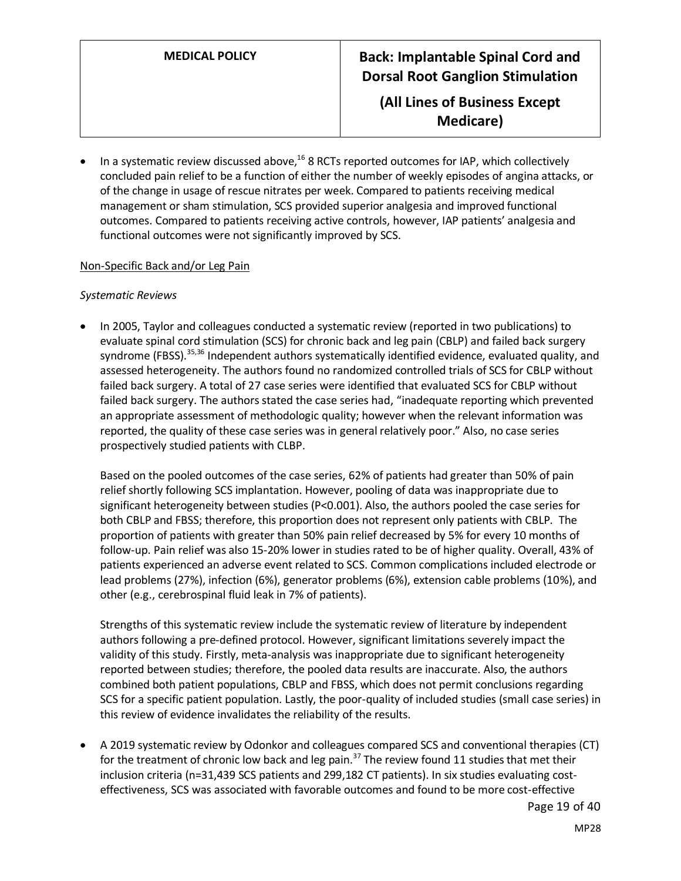**(All Lines of Business Except Medicare)**

In a systematic review discussed above, $^{16}$  8 RCTs reported outcomes for IAP, which collectively concluded pain relief to be a function of either the number of weekly episodes of angina attacks, or of the change in usage of rescue nitrates per week. Compared to patients receiving medical management or sham stimulation, SCS provided superior analgesia and improved functional outcomes. Compared to patients receiving active controls, however, IAP patients' analgesia and functional outcomes were not significantly improved by SCS.

#### Non-Specific Back and/or Leg Pain

#### *Systematic Reviews*

• In 2005, Taylor and colleagues conducted a systematic review (reported in two publications) to evaluate spinal cord stimulation (SCS) for chronic back and leg pain (CBLP) and failed back surgery syndrome (FBSS).<sup>35,36</sup> Independent authors systematically identified evidence, evaluated quality, and assessed heterogeneity. The authors found no randomized controlled trials of SCS for CBLP without failed back surgery. A total of 27 case series were identified that evaluated SCS for CBLP without failed back surgery. The authors stated the case series had, "inadequate reporting which prevented an appropriate assessment of methodologic quality; however when the relevant information was reported, the quality of these case series was in general relatively poor." Also, no case series prospectively studied patients with CLBP.

Based on the pooled outcomes of the case series, 62% of patients had greater than 50% of pain relief shortly following SCS implantation. However, pooling of data was inappropriate due to significant heterogeneity between studies (P<0.001). Also, the authors pooled the case series for both CBLP and FBSS; therefore, this proportion does not represent only patients with CBLP. The proportion of patients with greater than 50% pain relief decreased by 5% for every 10 months of follow-up. Pain relief was also 15-20% lower in studies rated to be of higher quality. Overall, 43% of patients experienced an adverse event related to SCS. Common complications included electrode or lead problems (27%), infection (6%), generator problems (6%), extension cable problems (10%), and other (e.g., cerebrospinal fluid leak in 7% of patients).

Strengths of this systematic review include the systematic review of literature by independent authors following a pre-defined protocol. However, significant limitations severely impact the validity of this study. Firstly, meta-analysis was inappropriate due to significant heterogeneity reported between studies; therefore, the pooled data results are inaccurate. Also, the authors combined both patient populations, CBLP and FBSS, which does not permit conclusions regarding SCS for a specific patient population. Lastly, the poor-quality of included studies (small case series) in this review of evidence invalidates the reliability of the results.

• A 2019 systematic review by Odonkor and colleagues compared SCS and conventional therapies (CT) for the treatment of chronic low back and leg pain.<sup>37</sup> The review found 11 studies that met their inclusion criteria (n=31,439 SCS patients and 299,182 CT patients). In six studies evaluating costeffectiveness, SCS was associated with favorable outcomes and found to be more cost-effective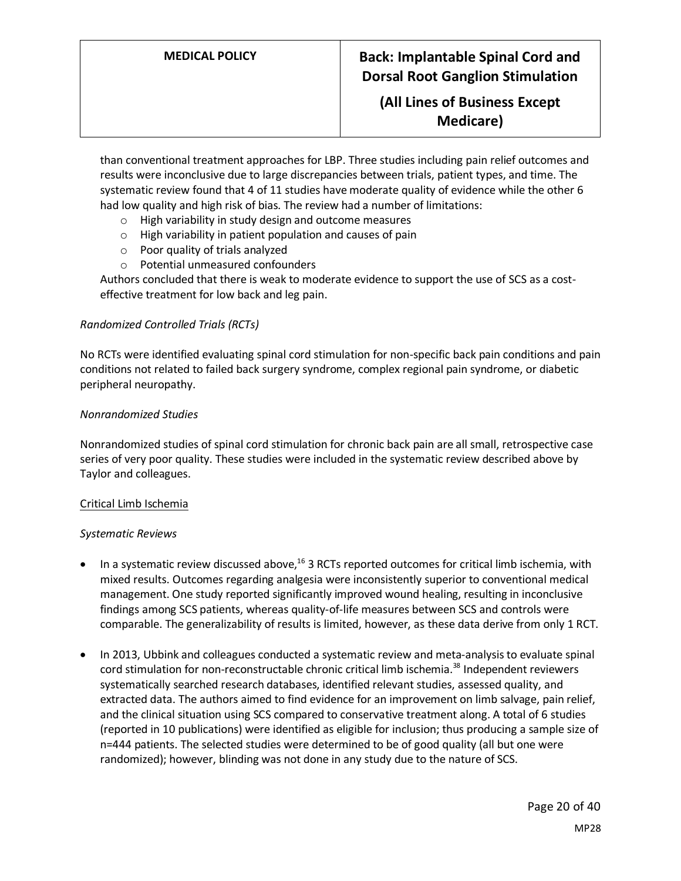## **(All Lines of Business Except Medicare)**

than conventional treatment approaches for LBP. Three studies including pain relief outcomes and results were inconclusive due to large discrepancies between trials, patient types, and time. The systematic review found that 4 of 11 studies have moderate quality of evidence while the other 6 had low quality and high risk of bias. The review had a number of limitations:

- o High variability in study design and outcome measures
- $\circ$  High variability in patient population and causes of pain
- o Poor quality of trials analyzed
- o Potential unmeasured confounders

Authors concluded that there is weak to moderate evidence to support the use of SCS as a costeffective treatment for low back and leg pain.

#### *Randomized Controlled Trials (RCTs)*

No RCTs were identified evaluating spinal cord stimulation for non-specific back pain conditions and pain conditions not related to failed back surgery syndrome, complex regional pain syndrome, or diabetic peripheral neuropathy.

#### *Nonrandomized Studies*

Nonrandomized studies of spinal cord stimulation for chronic back pain are all small, retrospective case series of very poor quality. These studies were included in the systematic review described above by Taylor and colleagues.

#### Critical Limb Ischemia

#### *Systematic Reviews*

- In a systematic review discussed above,<sup>16</sup> 3 RCTs reported outcomes for critical limb ischemia, with mixed results. Outcomes regarding analgesia were inconsistently superior to conventional medical management. One study reported significantly improved wound healing, resulting in inconclusive findings among SCS patients, whereas quality-of-life measures between SCS and controls were comparable. The generalizability of results is limited, however, as these data derive from only 1 RCT.
- In 2013, Ubbink and colleagues conducted a systematic review and meta-analysisto evaluate spinal cord stimulation for non-reconstructable chronic critical limb ischemia.<sup>38</sup> Independent reviewers systematically searched research databases, identified relevant studies, assessed quality, and extracted data. The authors aimed to find evidence for an improvement on limb salvage, pain relief, and the clinical situation using SCS compared to conservative treatment along. A total of 6 studies (reported in 10 publications) were identified as eligible for inclusion; thus producing a sample size of n=444 patients. The selected studies were determined to be of good quality (all but one were randomized); however, blinding was not done in any study due to the nature of SCS.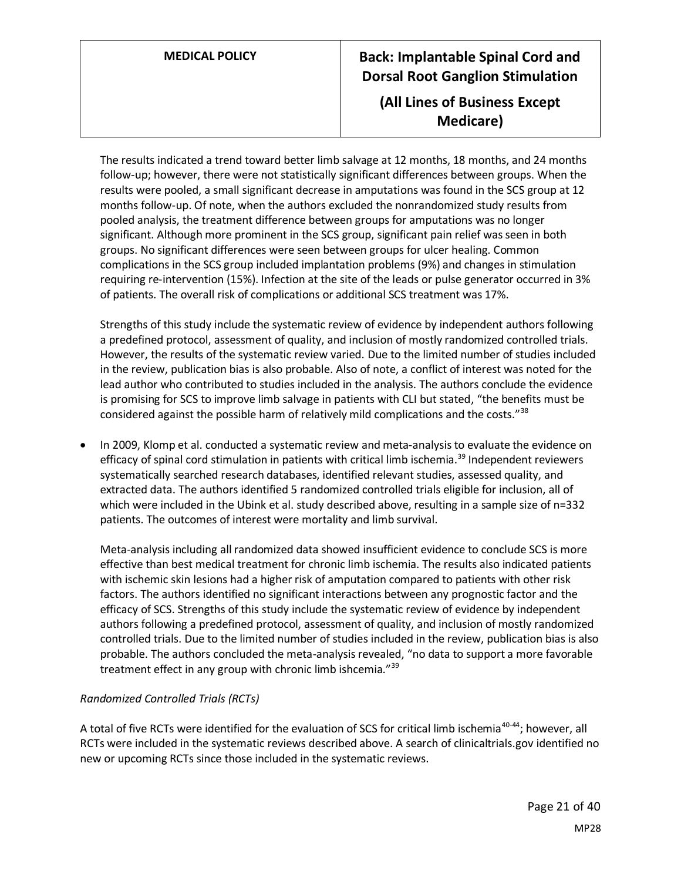## **(All Lines of Business Except Medicare)**

The results indicated a trend toward better limb salvage at 12 months, 18 months, and 24 months follow-up; however, there were not statistically significant differences between groups. When the results were pooled, a small significant decrease in amputations was found in the SCS group at 12 months follow-up. Of note, when the authors excluded the nonrandomized study results from pooled analysis, the treatment difference between groups for amputations was no longer significant. Although more prominent in the SCS group, significant pain relief was seen in both groups. No significant differences were seen between groups for ulcer healing. Common complications in the SCS group included implantation problems (9%) and changes in stimulation requiring re-intervention (15%). Infection at the site of the leads or pulse generator occurred in 3% of patients. The overall risk of complications or additional SCS treatment was 17%.

Strengths of this study include the systematic review of evidence by independent authors following a predefined protocol, assessment of quality, and inclusion of mostly randomized controlled trials. However, the results of the systematic review varied. Due to the limited number of studies included in the review, publication bias is also probable. Also of note, a conflict of interest was noted for the lead author who contributed to studies included in the analysis. The authors conclude the evidence is promising for SCS to improve limb salvage in patients with CLI but stated, "the benefits must be considered against the possible harm of relatively mild complications and the costs."<sup>38</sup>

• In 2009, Klomp et al. conducted a systematic review and meta-analysisto evaluate the evidence on efficacy of spinal cord stimulation in patients with critical limb ischemia.<sup>39</sup> Independent reviewers systematically searched research databases, identified relevant studies, assessed quality, and extracted data. The authors identified 5 randomized controlled trials eligible for inclusion, all of which were included in the Ubink et al. study described above, resulting in a sample size of n=332 patients. The outcomes of interest were mortality and limb survival.

Meta-analysis including all randomized data showed insufficient evidence to conclude SCS is more effective than best medical treatment for chronic limb ischemia. The results also indicated patients with ischemic skin lesions had a higher risk of amputation compared to patients with other risk factors. The authors identified no significant interactions between any prognostic factor and the efficacy of SCS. Strengths of this study include the systematic review of evidence by independent authors following a predefined protocol, assessment of quality, and inclusion of mostly randomized controlled trials. Due to the limited number of studies included in the review, publication bias is also probable. The authors concluded the meta-analysis revealed, "no data to support a more favorable treatment effect in any group with chronic limb ishcemia."<sup>39</sup>

### *Randomized Controlled Trials (RCTs)*

A total of five RCTs were identified for the evaluation of SCS for critical limb ischemia<sup>40-44</sup>; however, all RCTs were included in the systematic reviews described above. A search of clinicaltrials.gov identified no new or upcoming RCTs since those included in the systematic reviews.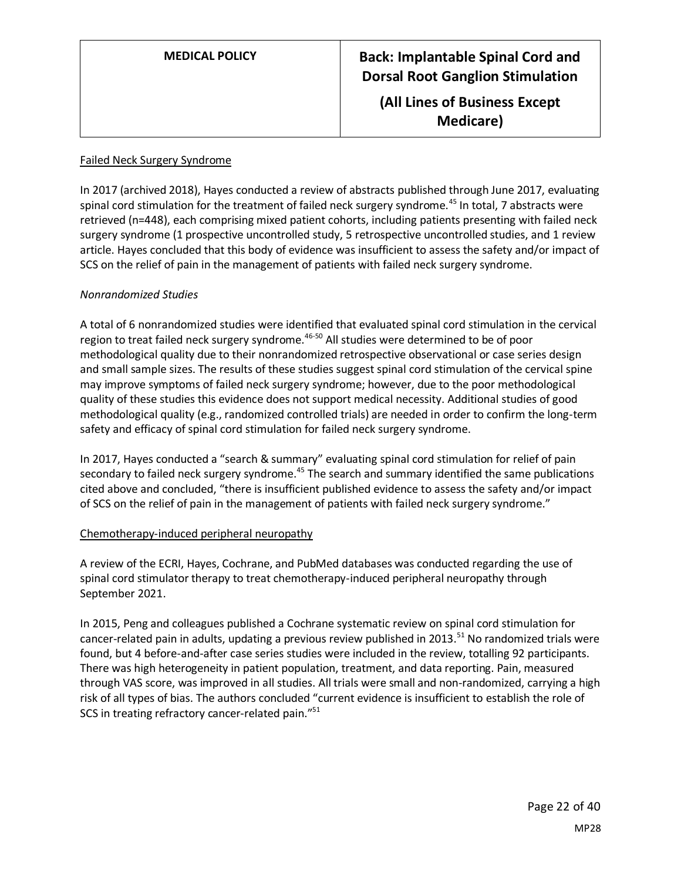**(All Lines of Business Except Medicare)**

#### Failed Neck Surgery Syndrome

In 2017 (archived 2018), Hayes conducted a review of abstracts published through June 2017, evaluating spinal cord stimulation for the treatment of failed neck surgery syndrome.<sup>45</sup> In total, 7 abstracts were retrieved (n=448), each comprising mixed patient cohorts, including patients presenting with failed neck surgery syndrome (1 prospective uncontrolled study, 5 retrospective uncontrolled studies, and 1 review article. Hayes concluded that this body of evidence was insufficient to assess the safety and/or impact of SCS on the relief of pain in the management of patients with failed neck surgery syndrome.

### *Nonrandomized Studies*

A total of 6 nonrandomized studies were identified that evaluated spinal cord stimulation in the cervical region to treat failed neck surgery syndrome.<sup>46-50</sup> All studies were determined to be of poor methodological quality due to their nonrandomized retrospective observational or case series design and small sample sizes. The results of these studies suggest spinal cord stimulation of the cervical spine may improve symptoms of failed neck surgery syndrome; however, due to the poor methodological quality of these studies this evidence does not support medical necessity. Additional studies of good methodological quality (e.g., randomized controlled trials) are needed in order to confirm the long-term safety and efficacy of spinal cord stimulation for failed neck surgery syndrome.

In 2017, Hayes conducted a "search & summary" evaluating spinal cord stimulation for relief of pain secondary to failed neck surgery syndrome.<sup>45</sup> The search and summary identified the same publications cited above and concluded, "there is insufficient published evidence to assess the safety and/or impact of SCS on the relief of pain in the management of patients with failed neck surgery syndrome."

#### Chemotherapy-induced peripheral neuropathy

A review of the ECRI, Hayes, Cochrane, and PubMed databases was conducted regarding the use of spinal cord stimulator therapy to treat chemotherapy-induced peripheral neuropathy through September 2021.

In 2015, Peng and colleagues published a Cochrane systematic review on spinal cord stimulation for cancer-related pain in adults, updating a previous review published in 2013.<sup>51</sup> No randomized trials were found, but 4 before-and-after case series studies were included in the review, totalling 92 participants. There was high heterogeneity in patient population, treatment, and data reporting. Pain, measured through VAS score, was improved in all studies. All trials were small and non-randomized, carrying a high risk of all types of bias. The authors concluded "current evidence is insufficient to establish the role of SCS in treating refractory cancer-related pain."<sup>51</sup>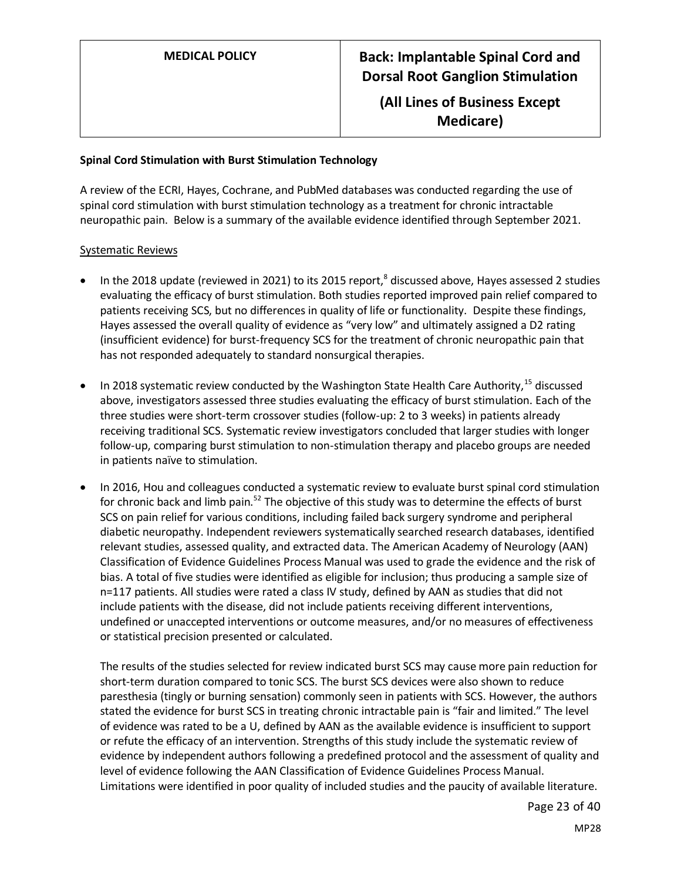**(All Lines of Business Except Medicare)**

#### **Spinal Cord Stimulation with Burst Stimulation Technology**

A review of the ECRI, Hayes, Cochrane, and PubMed databases was conducted regarding the use of spinal cord stimulation with burst stimulation technology as a treatment for chronic intractable neuropathic pain. Below is a summary of the available evidence identified through September 2021.

### Systematic Reviews

- $\bullet$  In the 2018 update (reviewed in 2021) to its 2015 report,<sup>8</sup> discussed above, Hayes assessed 2 studies evaluating the efficacy of burst stimulation. Both studies reported improved pain relief compared to patients receiving SCS, but no differences in quality of life or functionality. Despite these findings, Hayes assessed the overall quality of evidence as "very low" and ultimately assigned a D2 rating (insufficient evidence) for burst-frequency SCS for the treatment of chronic neuropathic pain that has not responded adequately to standard nonsurgical therapies.
- In 2018 systematic review conducted by the Washington State Health Care Authority,<sup>15</sup> discussed above, investigators assessed three studies evaluating the efficacy of burst stimulation. Each of the three studies were short-term crossover studies (follow-up: 2 to 3 weeks) in patients already receiving traditional SCS. Systematic review investigators concluded that larger studies with longer follow-up, comparing burst stimulation to non-stimulation therapy and placebo groups are needed in patients naïve to stimulation.
- In 2016, Hou and colleagues conducted a systematic review to evaluate burst spinal cord stimulation for chronic back and limb pain.<sup>52</sup> The objective of this study was to determine the effects of burst SCS on pain relief for various conditions, including failed back surgery syndrome and peripheral diabetic neuropathy. Independent reviewers systematically searched research databases, identified relevant studies, assessed quality, and extracted data. The American Academy of Neurology (AAN) Classification of Evidence Guidelines Process Manual was used to grade the evidence and the risk of bias. A total of five studies were identified as eligible for inclusion; thus producing a sample size of n=117 patients. All studies were rated a class IV study, defined by AAN as studies that did not include patients with the disease, did not include patients receiving different interventions, undefined or unaccepted interventions or outcome measures, and/or no measures of effectiveness or statistical precision presented or calculated.

The results of the studies selected for review indicated burst SCS may cause more pain reduction for short-term duration compared to tonic SCS. The burst SCS devices were also shown to reduce paresthesia (tingly or burning sensation) commonly seen in patients with SCS. However, the authors stated the evidence for burst SCS in treating chronic intractable pain is "fair and limited." The level of evidence was rated to be a U, defined by AAN as the available evidence is insufficient to support or refute the efficacy of an intervention. Strengths of this study include the systematic review of evidence by independent authors following a predefined protocol and the assessment of quality and level of evidence following the AAN Classification of Evidence Guidelines Process Manual. Limitations were identified in poor quality of included studies and the paucity of available literature.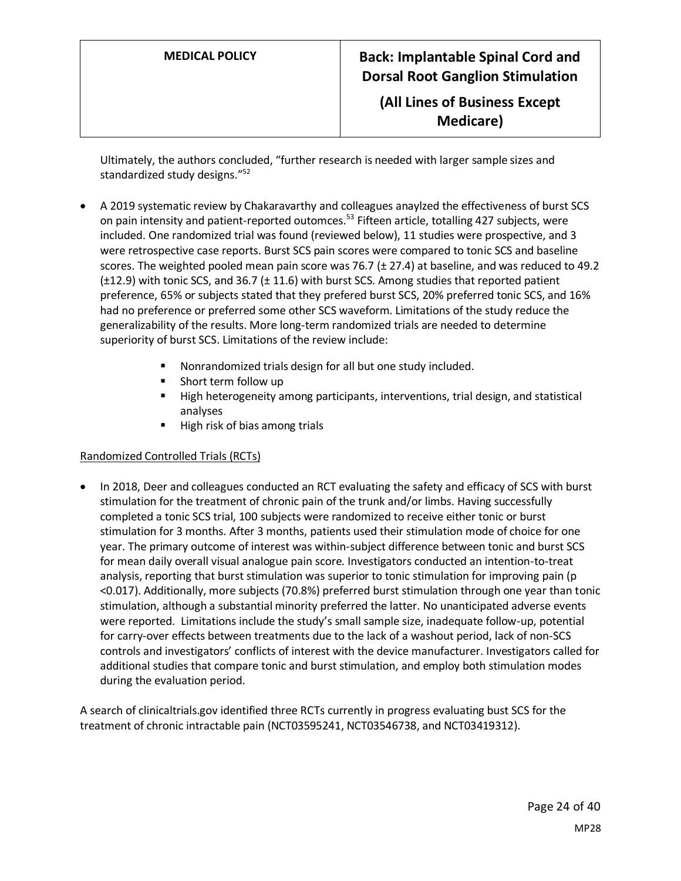**(All Lines of Business Except Medicare)**

Ultimately, the authors concluded, "further research is needed with larger sample sizes and standardized study designs."<sup>52</sup>

- A 2019 systematic review by Chakaravarthy and colleagues anaylzed the effectiveness of burst SCS on pain intensity and patient-reported outomces.<sup>53</sup> Fifteen article, totalling 427 subjects, were included. One randomized trial was found (reviewed below), 11 studies were prospective, and 3 were retrospective case reports. Burst SCS pain scores were compared to tonic SCS and baseline scores. The weighted pooled mean pain score was 76.7 ( $\pm$  27.4) at baseline, and was reduced to 49.2 (±12.9) with tonic SCS, and 36.7 (± 11.6) with burst SCS. Among studies that reported patient preference, 65% or subjects stated that they prefered burst SCS, 20% preferred tonic SCS, and 16% had no preference or preferred some other SCS waveform. Limitations of the study reduce the generalizability of the results. More long-term randomized trials are needed to determine superiority of burst SCS. Limitations of the review include:
	- Nonrandomized trials design for all but one study included.
	- Short term follow up
	- High heterogeneity among participants, interventions, trial design, and statistical analyses
	- High risk of bias among trials

### Randomized Controlled Trials (RCTs)

• In 2018, Deer and colleagues conducted an RCT evaluating the safety and efficacy of SCS with burst stimulation for the treatment of chronic pain of the trunk and/or limbs. Having successfully completed a tonic SCS trial, 100 subjects were randomized to receive either tonic or burst stimulation for 3 months. After 3 months, patients used their stimulation mode of choice for one year. The primary outcome of interest was within-subject difference between tonic and burst SCS for mean daily overall visual analogue pain score. Investigators conducted an intention-to-treat analysis, reporting that burst stimulation was superior to tonic stimulation for improving pain (p <0.017). Additionally, more subjects (70.8%) preferred burst stimulation through one year than tonic stimulation, although a substantial minority preferred the latter. No unanticipated adverse events were reported. Limitations include the study's small sample size, inadequate follow-up, potential for carry-over effects between treatments due to the lack of a washout period, lack of non-SCS controls and investigators' conflicts of interest with the device manufacturer. Investigators called for additional studies that compare tonic and burst stimulation, and employ both stimulation modes during the evaluation period.

A search of clinicaltrials.gov identified three RCTs currently in progress evaluating bust SCS for the treatment of chronic intractable pain (NCT03595241, NCT03546738, and NCT03419312).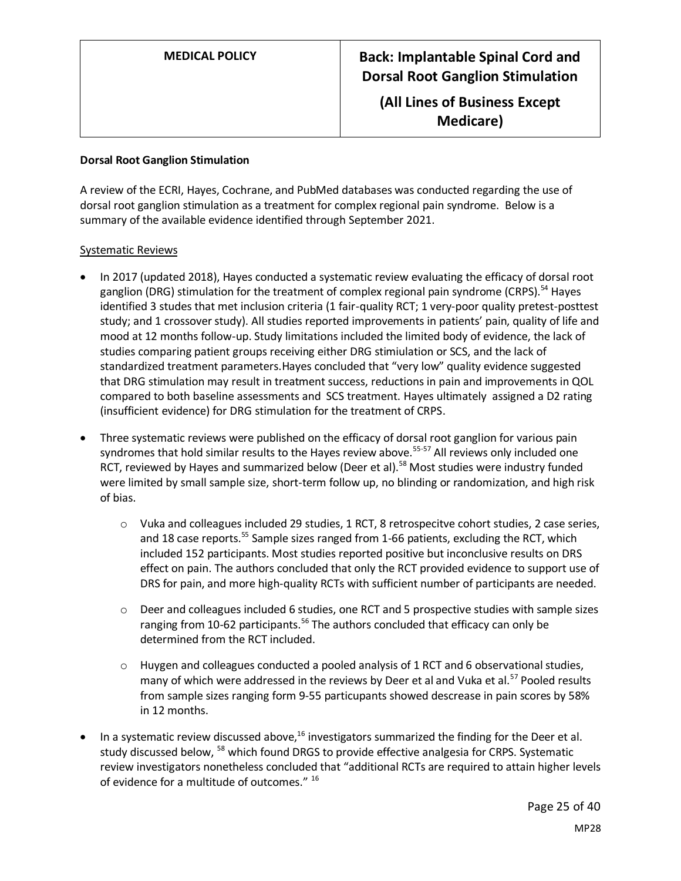**(All Lines of Business Except Medicare)**

#### **Dorsal Root Ganglion Stimulation**

A review of the ECRI, Hayes, Cochrane, and PubMed databases was conducted regarding the use of dorsal root ganglion stimulation as a treatment for complex regional pain syndrome. Below is a summary of the available evidence identified through September 2021.

#### Systematic Reviews

- In 2017 (updated 2018), Hayes conducted a systematic review evaluating the efficacy of dorsal root ganglion (DRG) stimulation for the treatment of complex regional pain syndrome (CRPS).<sup>54</sup> Hayes identified 3 studes that met inclusion criteria (1 fair-quality RCT; 1 very-poor quality pretest-posttest study; and 1 crossover study). All studies reported improvements in patients' pain, quality of life and mood at 12 months follow-up. Study limitations included the limited body of evidence, the lack of studies comparing patient groups receiving either DRG stimiulation or SCS, and the lack of standardized treatment parameters.Hayes concluded that "very low" quality evidence suggested that DRG stimulation may result in treatment success, reductions in pain and improvements in QOL compared to both baseline assessments and SCS treatment. Hayes ultimately assigned a D2 rating (insufficient evidence) for DRG stimulation for the treatment of CRPS.
- Three systematic reviews were published on the efficacy of dorsal root ganglion for various pain syndromes that hold similar results to the Hayes review above.<sup>55-57</sup> All reviews only included one RCT, reviewed by Hayes and summarized below (Deer et al).<sup>58</sup> Most studies were industry funded were limited by small sample size, short-term follow up, no blinding or randomization, and high risk of bias.
	- o Vuka and colleagues included 29 studies, 1 RCT, 8 retrospecitve cohort studies, 2 case series, and 18 case reports.<sup>55</sup> Sample sizes ranged from 1-66 patients, excluding the RCT, which included 152 participants. Most studies reported positive but inconclusive results on DRS effect on pain. The authors concluded that only the RCT provided evidence to support use of DRS for pain, and more high-quality RCTs with sufficient number of participants are needed.
	- $\circ$  Deer and colleagues included 6 studies, one RCT and 5 prospective studies with sample sizes ranging from 10-62 participants.<sup>56</sup> The authors concluded that efficacy can only be determined from the RCT included.
	- $\circ$  Huygen and colleagues conducted a pooled analysis of 1 RCT and 6 observational studies, many of which were addressed in the reviews by Deer et al and Vuka et al.<sup>57</sup> Pooled results from sample sizes ranging form 9-55 particupants showed descrease in pain scores by 58% in 12 months.
- In a systematic review discussed above, $16$  investigators summarized the finding for the Deer et al. study discussed below, <sup>58</sup> which found DRGS to provide effective analgesia for CRPS. Systematic review investigators nonetheless concluded that "additional RCTs are required to attain higher levels of evidence for a multitude of outcomes." 16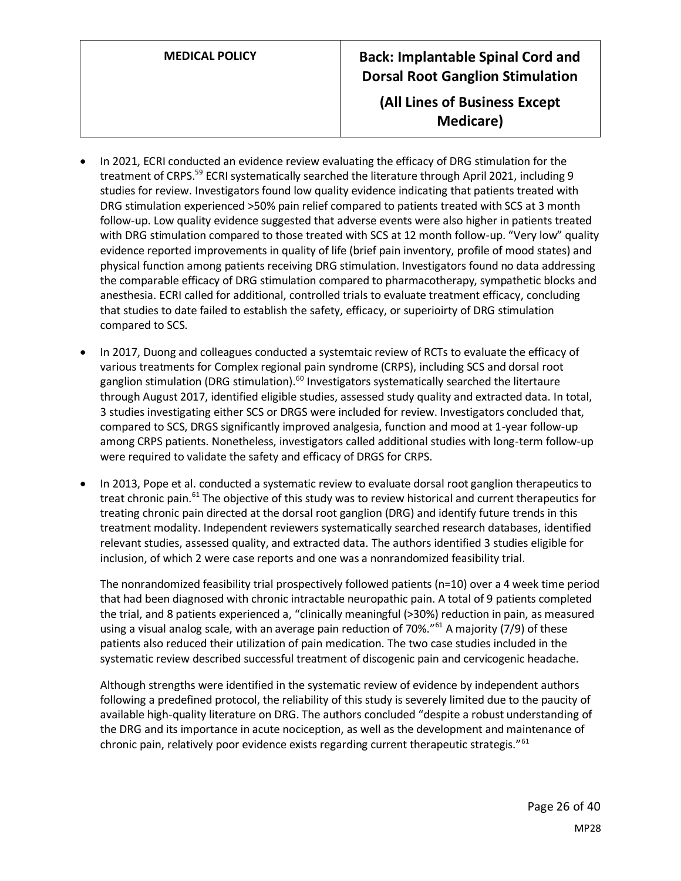# **MEDICAL POLICY Back: Implantable Spinal Cord and Dorsal Root Ganglion Stimulation (All Lines of Business Except**

**Medicare)**

- In 2021, ECRI conducted an evidence review evaluating the efficacy of DRG stimulation for the treatment of CRPS.<sup>59</sup> ECRI systematically searched the literature through April 2021, including 9 studies for review. Investigators found low quality evidence indicating that patients treated with DRG stimulation experienced >50% pain relief compared to patients treated with SCS at 3 month follow-up. Low quality evidence suggested that adverse events were also higher in patients treated with DRG stimulation compared to those treated with SCS at 12 month follow-up. "Very low" quality evidence reported improvements in quality of life (brief pain inventory, profile of mood states) and physical function among patients receiving DRG stimulation. Investigators found no data addressing the comparable efficacy of DRG stimulation compared to pharmacotherapy, sympathetic blocks and anesthesia. ECRI called for additional, controlled trials to evaluate treatment efficacy, concluding that studies to date failed to establish the safety, efficacy, or superioirty of DRG stimulation compared to SCS.
- In 2017, Duong and colleagues conducted a systemtaic review of RCTs to evaluate the efficacy of various treatments for Complex regional pain syndrome (CRPS), including SCS and dorsal root ganglion stimulation (DRG stimulation).<sup>60</sup> Investigators systematically searched the litertaure through August 2017, identified eligible studies, assessed study quality and extracted data. In total, 3 studies investigating either SCS or DRGS were included for review. Investigators concluded that, compared to SCS, DRGS significantly improved analgesia, function and mood at 1-year follow-up among CRPS patients. Nonetheless, investigators called additional studies with long-term follow-up were required to validate the safety and efficacy of DRGS for CRPS.
- In 2013, Pope et al. conducted a systematic review to evaluate dorsal root ganglion therapeutics to treat chronic pain.<sup>61</sup> The objective of this study was to review historical and current therapeutics for treating chronic pain directed at the dorsal root ganglion (DRG) and identify future trends in this treatment modality. Independent reviewers systematically searched research databases, identified relevant studies, assessed quality, and extracted data. The authors identified 3 studies eligible for inclusion, of which 2 were case reports and one was a nonrandomized feasibility trial.

The nonrandomized feasibility trial prospectively followed patients (n=10) over a 4 week time period that had been diagnosed with chronic intractable neuropathic pain. A total of 9 patients completed the trial, and 8 patients experienced a, "clinically meaningful (>30%) reduction in pain, as measured using a visual analog scale, with an average pain reduction of 70%."<sup>61</sup> A majority (7/9) of these patients also reduced their utilization of pain medication. The two case studies included in the systematic review described successful treatment of discogenic pain and cervicogenic headache.

Although strengths were identified in the systematic review of evidence by independent authors following a predefined protocol, the reliability of this study is severely limited due to the paucity of available high-quality literature on DRG. The authors concluded "despite a robust understanding of the DRG and its importance in acute nociception, as well as the development and maintenance of chronic pain, relatively poor evidence exists regarding current therapeutic strategis."<sup>61</sup>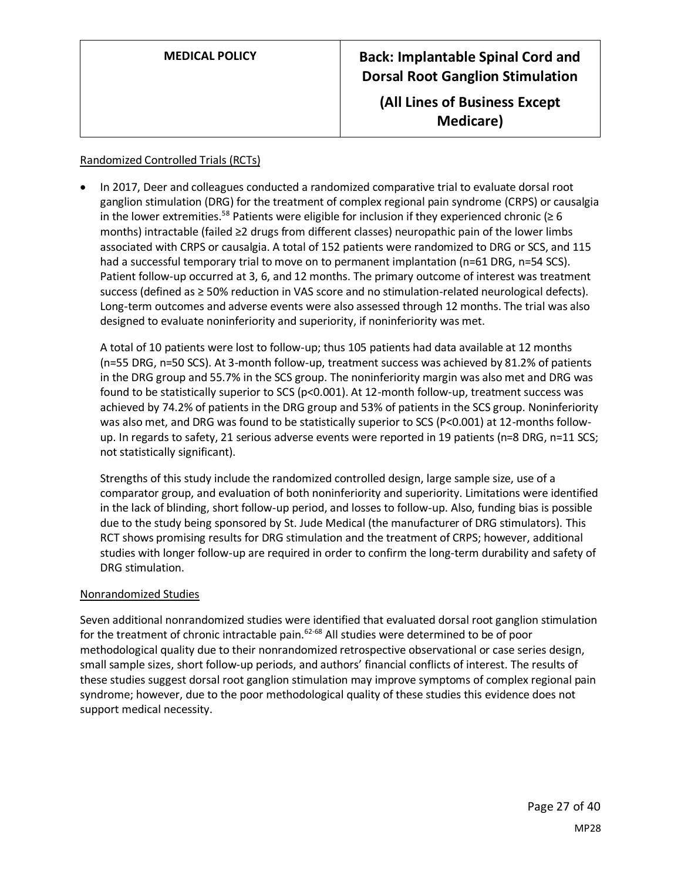| <b>MEDICAL POLICY</b> | <b>Back: Implantable Spinal Cord and</b><br><b>Dorsal Root Ganglion Stimulation</b> |
|-----------------------|-------------------------------------------------------------------------------------|
|                       | (All Lines of Business Except<br>Medicare)                                          |

#### Randomized Controlled Trials (RCTs)

• In 2017, Deer and colleagues conducted a randomized comparative trial to evaluate dorsal root ganglion stimulation (DRG) for the treatment of complex regional pain syndrome (CRPS) or causalgia in the lower extremities.<sup>58</sup> Patients were eligible for inclusion if they experienced chronic ( $\geq 6$ months) intractable (failed ≥2 drugs from different classes) neuropathic pain of the lower limbs associated with CRPS or causalgia. A total of 152 patients were randomized to DRG or SCS, and 115 had a successful temporary trial to move on to permanent implantation (n=61 DRG, n=54 SCS). Patient follow-up occurred at 3, 6, and 12 months. The primary outcome of interest was treatment success (defined as ≥ 50% reduction in VAS score and no stimulation-related neurological defects). Long-term outcomes and adverse events were also assessed through 12 months. The trial was also designed to evaluate noninferiority and superiority, if noninferiority was met.

A total of 10 patients were lost to follow-up; thus 105 patients had data available at 12 months (n=55 DRG, n=50 SCS). At 3-month follow-up, treatment success was achieved by 81.2% of patients in the DRG group and 55.7% in the SCS group. The noninferiority margin was also met and DRG was found to be statistically superior to SCS (p<0.001). At 12-month follow-up, treatment success was achieved by 74.2% of patients in the DRG group and 53% of patients in the SCS group. Noninferiority was also met, and DRG was found to be statistically superior to SCS (P<0.001) at 12-months followup. In regards to safety, 21 serious adverse events were reported in 19 patients (n=8 DRG, n=11 SCS; not statistically significant).

Strengths of this study include the randomized controlled design, large sample size, use of a comparator group, and evaluation of both noninferiority and superiority. Limitations were identified in the lack of blinding, short follow-up period, and losses to follow-up. Also, funding bias is possible due to the study being sponsored by St. Jude Medical (the manufacturer of DRG stimulators). This RCT shows promising results for DRG stimulation and the treatment of CRPS; however, additional studies with longer follow-up are required in order to confirm the long-term durability and safety of DRG stimulation.

#### Nonrandomized Studies

Seven additional nonrandomized studies were identified that evaluated dorsal root ganglion stimulation for the treatment of chronic intractable pain.<sup>62-68</sup> All studies were determined to be of poor methodological quality due to their nonrandomized retrospective observational or case series design, small sample sizes, short follow-up periods, and authors' financial conflicts of interest. The results of these studies suggest dorsal root ganglion stimulation may improve symptoms of complex regional pain syndrome; however, due to the poor methodological quality of these studies this evidence does not support medical necessity.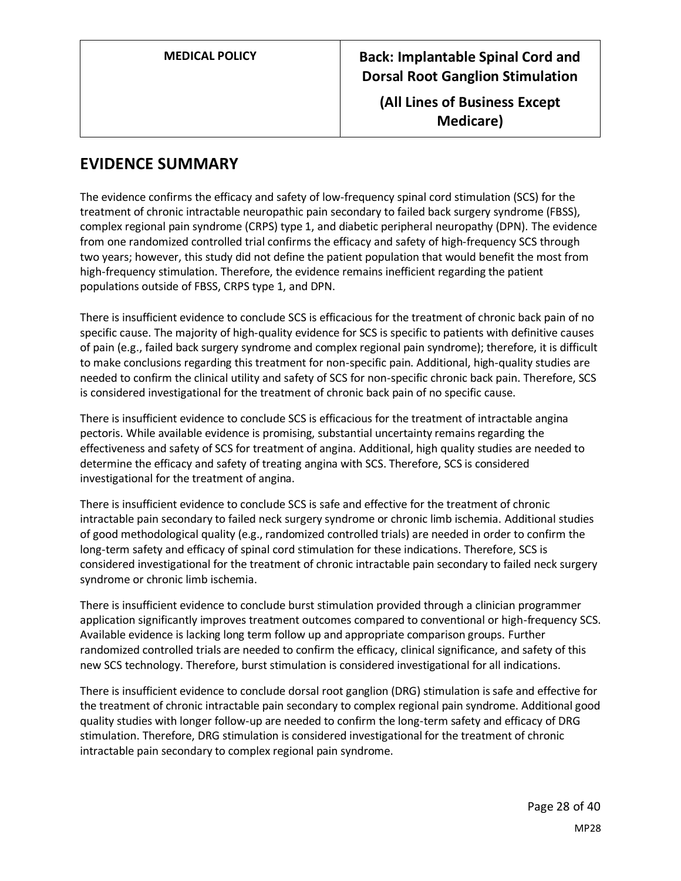> **(All Lines of Business Except Medicare)**

# **EVIDENCE SUMMARY**

The evidence confirms the efficacy and safety of low-frequency spinal cord stimulation (SCS) for the treatment of chronic intractable neuropathic pain secondary to failed back surgery syndrome (FBSS), complex regional pain syndrome (CRPS) type 1, and diabetic peripheral neuropathy (DPN). The evidence from one randomized controlled trial confirms the efficacy and safety of high-frequency SCS through two years; however, this study did not define the patient population that would benefit the most from high-frequency stimulation. Therefore, the evidence remains inefficient regarding the patient populations outside of FBSS, CRPS type 1, and DPN.

There is insufficient evidence to conclude SCS is efficacious for the treatment of chronic back pain of no specific cause. The majority of high-quality evidence for SCS is specific to patients with definitive causes of pain (e.g., failed back surgery syndrome and complex regional pain syndrome); therefore, it is difficult to make conclusions regarding this treatment for non-specific pain. Additional, high-quality studies are needed to confirm the clinical utility and safety of SCS for non-specific chronic back pain. Therefore, SCS is considered investigational for the treatment of chronic back pain of no specific cause.

There is insufficient evidence to conclude SCS is efficacious for the treatment of intractable angina pectoris. While available evidence is promising, substantial uncertainty remains regarding the effectiveness and safety of SCS for treatment of angina. Additional, high quality studies are needed to determine the efficacy and safety of treating angina with SCS. Therefore, SCS is considered investigational for the treatment of angina.

There is insufficient evidence to conclude SCS is safe and effective for the treatment of chronic intractable pain secondary to failed neck surgery syndrome or chronic limb ischemia. Additional studies of good methodological quality (e.g., randomized controlled trials) are needed in order to confirm the long-term safety and efficacy of spinal cord stimulation for these indications. Therefore, SCS is considered investigational for the treatment of chronic intractable pain secondary to failed neck surgery syndrome or chronic limb ischemia.

There is insufficient evidence to conclude burst stimulation provided through a clinician programmer application significantly improves treatment outcomes compared to conventional or high-frequency SCS. Available evidence is lacking long term follow up and appropriate comparison groups. Further randomized controlled trials are needed to confirm the efficacy, clinical significance, and safety of this new SCS technology. Therefore, burst stimulation is considered investigational for all indications.

There is insufficient evidence to conclude dorsal root ganglion (DRG) stimulation is safe and effective for the treatment of chronic intractable pain secondary to complex regional pain syndrome. Additional good quality studies with longer follow-up are needed to confirm the long-term safety and efficacy of DRG stimulation. Therefore, DRG stimulation is considered investigational for the treatment of chronic intractable pain secondary to complex regional pain syndrome.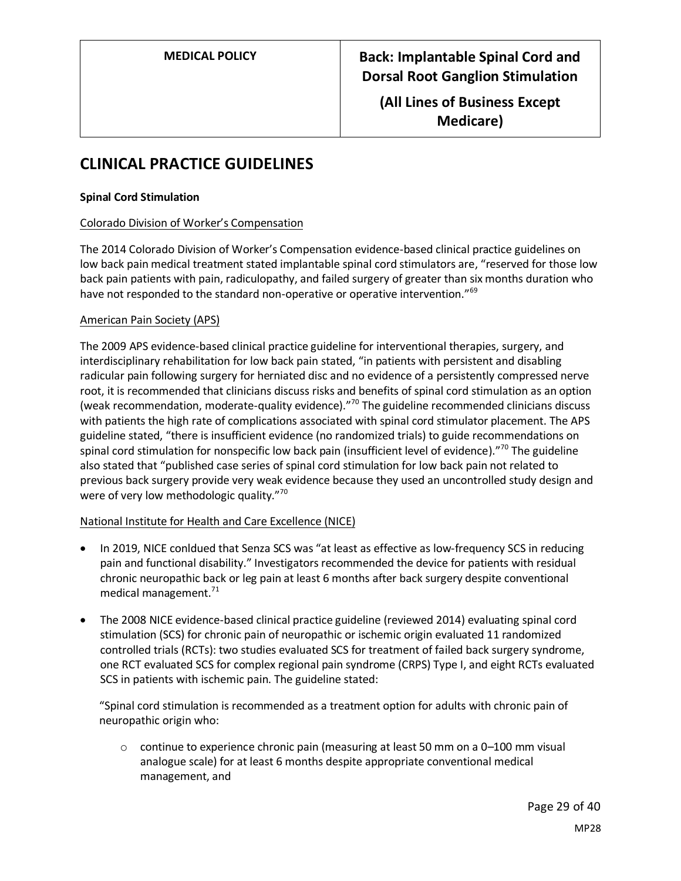**(All Lines of Business Except Medicare)**

# **CLINICAL PRACTICE GUIDELINES**

### **Spinal Cord Stimulation**

### Colorado Division of Worker's Compensation

The 2014 Colorado Division of Worker's Compensation evidence-based clinical practice guidelines on low back pain medical treatment stated implantable spinal cord stimulators are, "reserved for those low back pain patients with pain, radiculopathy, and failed surgery of greater than six months duration who have not responded to the standard non-operative or operative intervention."<sup>69</sup>

### American Pain Society (APS)

The 2009 APS evidence-based clinical practice guideline for interventional therapies, surgery, and interdisciplinary rehabilitation for low back pain stated, "in patients with persistent and disabling radicular pain following surgery for herniated disc and no evidence of a persistently compressed nerve root, it is recommended that clinicians discuss risks and benefits of spinal cord stimulation as an option (weak recommendation, moderate-quality evidence)."<sup>70</sup> The guideline recommended clinicians discuss with patients the high rate of complications associated with spinal cord stimulator placement. The APS guideline stated, "there is insufficient evidence (no randomized trials) to guide recommendations on spinal cord stimulation for nonspecific low back pain (insufficient level of evidence)."<sup>70</sup> The guideline also stated that "published case series of spinal cord stimulation for low back pain not related to previous back surgery provide very weak evidence because they used an uncontrolled study design and were of very low methodologic quality."<sup>70</sup>

#### National Institute for Health and Care Excellence (NICE)

- In 2019, NICE conldued that Senza SCS was "at least as effective as low-frequency SCS in reducing pain and functional disability." Investigators recommended the device for patients with residual chronic neuropathic back or leg pain at least 6 months after back surgery despite conventional medical management.<sup>71</sup>
- The 2008 NICE evidence-based clinical practice guideline (reviewed 2014) evaluating spinal cord stimulation (SCS) for chronic pain of neuropathic or ischemic origin evaluated 11 randomized controlled trials (RCTs): two studies evaluated SCS for treatment of failed back surgery syndrome, one RCT evaluated SCS for complex regional pain syndrome (CRPS) Type I, and eight RCTs evaluated SCS in patients with ischemic pain. The guideline stated:

"Spinal cord stimulation is recommended as a treatment option for adults with chronic pain of neuropathic origin who:

 $\circ$  continue to experience chronic pain (measuring at least 50 mm on a 0–100 mm visual analogue scale) for at least 6 months despite appropriate conventional medical management, and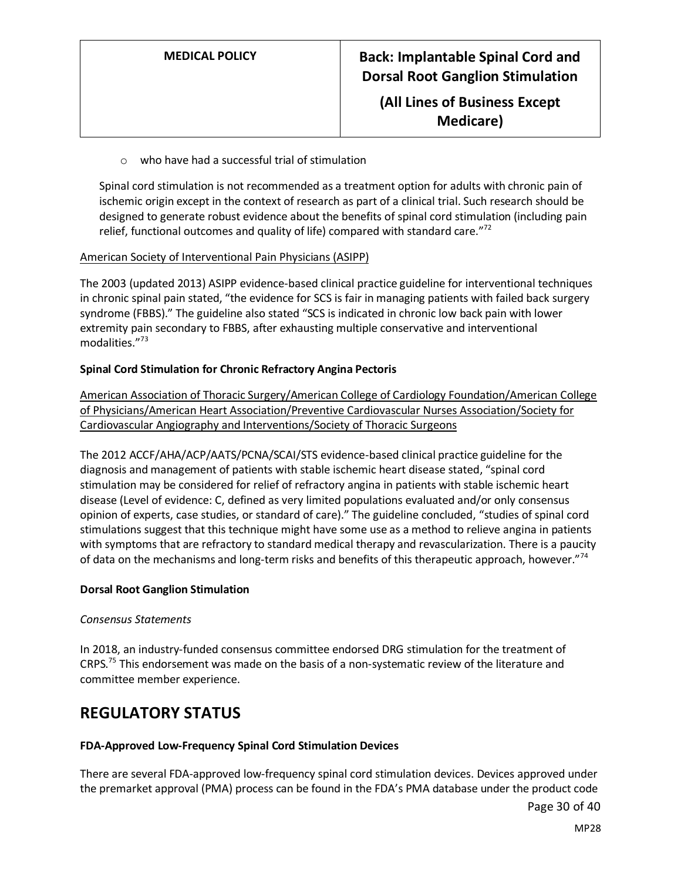## **(All Lines of Business Except Medicare)**

#### o who have had a successful trial of stimulation

Spinal cord stimulation is not recommended as a treatment option for adults with chronic pain of ischemic origin except in the context of research as part of a clinical trial. Such research should be designed to generate robust evidence about the benefits of spinal cord stimulation (including pain relief, functional outcomes and quality of life) compared with standard care." $72$ 

#### American Society of Interventional Pain Physicians (ASIPP)

The 2003 (updated 2013) ASIPP evidence-based clinical practice guideline for interventional techniques in chronic spinal pain stated, "the evidence for SCS is fair in managing patients with failed back surgery syndrome (FBBS)." The guideline also stated "SCS is indicated in chronic low back pain with lower extremity pain secondary to FBBS, after exhausting multiple conservative and interventional modalities."<sup>73</sup>

### **Spinal Cord Stimulation for Chronic Refractory Angina Pectoris**

American Association of Thoracic Surgery/American College of Cardiology Foundation/American College of Physicians/American Heart Association/Preventive Cardiovascular Nurses Association/Society for Cardiovascular Angiography and Interventions/Society of Thoracic Surgeons

The 2012 ACCF/AHA/ACP/AATS/PCNA/SCAI/STS evidence-based clinical practice guideline for the diagnosis and management of patients with stable ischemic heart disease stated, "spinal cord stimulation may be considered for relief of refractory angina in patients with stable ischemic heart disease (Level of evidence: C, defined as very limited populations evaluated and/or only consensus opinion of experts, case studies, or standard of care)." The guideline concluded, "studies of spinal cord stimulations suggest that this technique might have some use as a method to relieve angina in patients with symptoms that are refractory to standard medical therapy and revascularization. There is a paucity of data on the mechanisms and long-term risks and benefits of this therapeutic approach, however."<sup>74</sup>

#### **Dorsal Root Ganglion Stimulation**

#### *Consensus Statements*

In 2018, an industry-funded consensus committee endorsed DRG stimulation for the treatment of CRPS.<sup>75</sup> This endorsement was made on the basis of a non-systematic review of the literature and committee member experience.

## **REGULATORY STATUS**

#### **FDA-Approved Low-Frequency Spinal Cord Stimulation Devices**

There are several FDA-approved low-frequency spinal cord stimulation devices. Devices approved under the premarket approval (PMA) process can be found in the FDA's PMA database under the product code

Page 30 of 40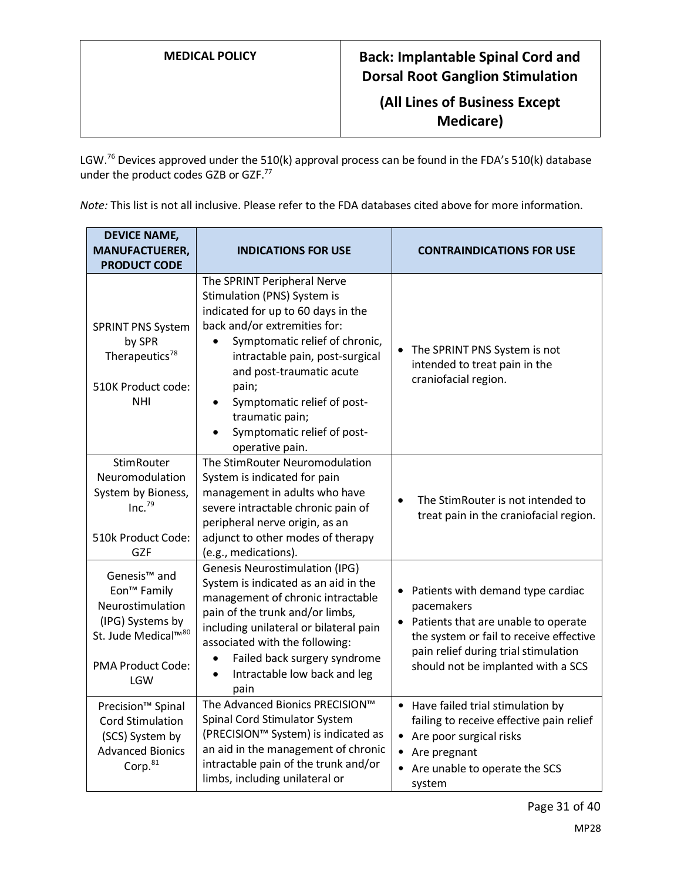**(All Lines of Business Except Medicare)**

LGW.<sup>76</sup> Devices approved under the 510(k) approval process can be found in the FDA's 510(k) database under the product codes GZB or GZF.<sup>77</sup>

*Note:* This list is not all inclusive. Please refer to the FDA databases cited above for more information.

| <b>DEVICE NAME,</b><br><b>MANUFACTUERER,</b><br><b>PRODUCT CODE</b>                                                                                               | <b>INDICATIONS FOR USE</b>                                                                                                                                                                                                                                                                                                                     | <b>CONTRAINDICATIONS FOR USE</b>                                                                                                                                                                                               |  |
|-------------------------------------------------------------------------------------------------------------------------------------------------------------------|------------------------------------------------------------------------------------------------------------------------------------------------------------------------------------------------------------------------------------------------------------------------------------------------------------------------------------------------|--------------------------------------------------------------------------------------------------------------------------------------------------------------------------------------------------------------------------------|--|
| <b>SPRINT PNS System</b><br>by SPR<br>Therapeutics <sup>78</sup><br>510K Product code:<br><b>NHI</b>                                                              | The SPRINT Peripheral Nerve<br>Stimulation (PNS) System is<br>indicated for up to 60 days in the<br>back and/or extremities for:<br>Symptomatic relief of chronic,<br>intractable pain, post-surgical<br>and post-traumatic acute<br>pain;<br>Symptomatic relief of post-<br>traumatic pain;<br>Symptomatic relief of post-<br>operative pain. | • The SPRINT PNS System is not<br>intended to treat pain in the<br>craniofacial region.                                                                                                                                        |  |
| <b>StimRouter</b><br>Neuromodulation<br>System by Bioness,<br>Inc. <sup>79</sup><br>510k Product Code:<br><b>GZF</b>                                              | The StimRouter Neuromodulation<br>System is indicated for pain<br>management in adults who have<br>severe intractable chronic pain of<br>peripheral nerve origin, as an<br>adjunct to other modes of therapy<br>(e.g., medications).                                                                                                           | The StimRouter is not intended to<br>$\bullet$<br>treat pain in the craniofacial region.                                                                                                                                       |  |
| Genesis <sup>™</sup> and<br>Eon <sup>™</sup> Family<br>Neurostimulation<br>(IPG) Systems by<br>St. Jude Medical™ <sup>80</sup><br><b>PMA Product Code:</b><br>LGW | <b>Genesis Neurostimulation (IPG)</b><br>System is indicated as an aid in the<br>management of chronic intractable<br>pain of the trunk and/or limbs,<br>including unilateral or bilateral pain<br>associated with the following:<br>Failed back surgery syndrome<br>Intractable low back and leg<br>pain                                      | Patients with demand type cardiac<br>$\bullet$<br>pacemakers<br>• Patients that are unable to operate<br>the system or fail to receive effective<br>pain relief during trial stimulation<br>should not be implanted with a SCS |  |
| Precision <sup>™</sup> Spinal<br><b>Cord Stimulation</b><br>(SCS) System by<br><b>Advanced Bionics</b><br>Corp. <sup>81</sup>                                     | The Advanced Bionics PRECISION™<br>Spinal Cord Stimulator System<br>(PRECISION™ System) is indicated as<br>an aid in the management of chronic<br>intractable pain of the trunk and/or<br>limbs, including unilateral or                                                                                                                       | Have failed trial stimulation by<br>failing to receive effective pain relief<br>Are poor surgical risks<br>Are pregnant<br>Are unable to operate the SCS<br>system                                                             |  |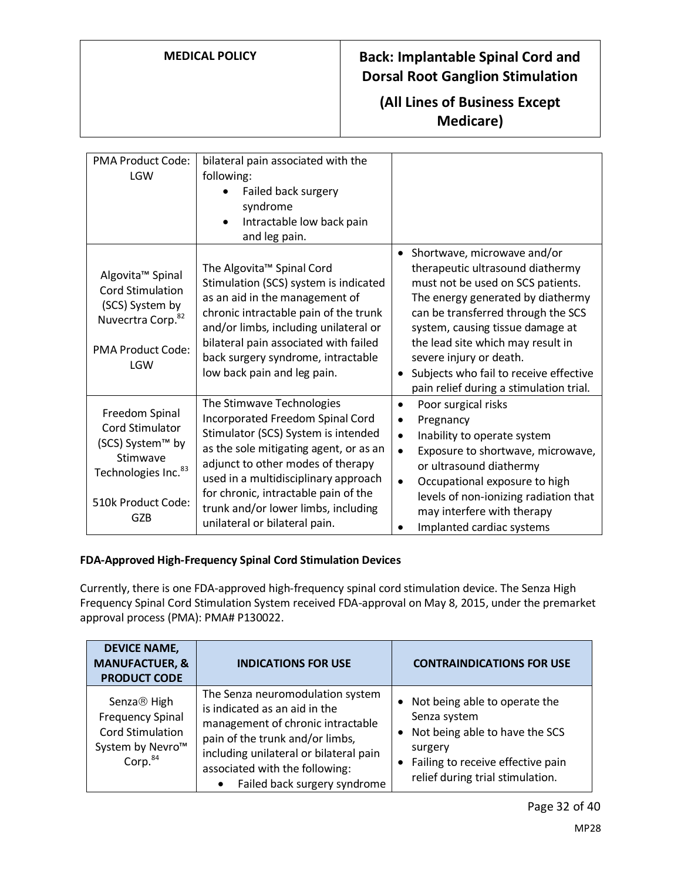## **(All Lines of Business Except Medicare)**

| <b>PMA Product Code:</b><br>LGW                                                                                                                       | bilateral pain associated with the<br>following:<br>Failed back surgery<br>syndrome<br>Intractable low back pain<br>and leg pain.                                                                                                                                                                                                           |                                                                                                                                                                                                                                                                                                                                                                                       |
|-------------------------------------------------------------------------------------------------------------------------------------------------------|---------------------------------------------------------------------------------------------------------------------------------------------------------------------------------------------------------------------------------------------------------------------------------------------------------------------------------------------|---------------------------------------------------------------------------------------------------------------------------------------------------------------------------------------------------------------------------------------------------------------------------------------------------------------------------------------------------------------------------------------|
| Algovita <sup>™</sup> Spinal<br><b>Cord Stimulation</b><br>(SCS) System by<br>Nuvecrtra Corp. <sup>82</sup><br><b>PMA Product Code:</b><br><b>LGW</b> | The Algovita <sup>™</sup> Spinal Cord<br>Stimulation (SCS) system is indicated<br>as an aid in the management of<br>chronic intractable pain of the trunk<br>and/or limbs, including unilateral or<br>bilateral pain associated with failed<br>back surgery syndrome, intractable<br>low back pain and leg pain.                            | Shortwave, microwave and/or<br>$\bullet$<br>therapeutic ultrasound diathermy<br>must not be used on SCS patients.<br>The energy generated by diathermy<br>can be transferred through the SCS<br>system, causing tissue damage at<br>the lead site which may result in<br>severe injury or death.<br>Subjects who fail to receive effective<br>pain relief during a stimulation trial. |
| Freedom Spinal<br><b>Cord Stimulator</b><br>(SCS) System™ by<br>Stimwave<br>Technologies Inc. <sup>83</sup><br>510k Product Code:<br><b>GZB</b>       | The Stimwave Technologies<br>Incorporated Freedom Spinal Cord<br>Stimulator (SCS) System is intended<br>as the sole mitigating agent, or as an<br>adjunct to other modes of therapy<br>used in a multidisciplinary approach<br>for chronic, intractable pain of the<br>trunk and/or lower limbs, including<br>unilateral or bilateral pain. | Poor surgical risks<br>$\bullet$<br>Pregnancy<br>$\bullet$<br>Inability to operate system<br>$\bullet$<br>Exposure to shortwave, microwave,<br>$\bullet$<br>or ultrasound diathermy<br>Occupational exposure to high<br>$\bullet$<br>levels of non-ionizing radiation that<br>may interfere with therapy<br>Implanted cardiac systems                                                 |

### **FDA-Approved High-Frequency Spinal Cord Stimulation Devices**

Currently, there is one FDA-approved high-frequency spinal cord stimulation device. The Senza High Frequency Spinal Cord Stimulation System received FDA-approval on May 8, 2015, under the premarket approval process (PMA): PMA# P130022.

| <b>DEVICE NAME,</b><br><b>MANUFACTUER, &amp;</b><br><b>PRODUCT CODE</b>                                                              | <b>INDICATIONS FOR USE</b>                                                                                                                                                                                                                            | <b>CONTRAINDICATIONS FOR USE</b>                                                                                                                                    |
|--------------------------------------------------------------------------------------------------------------------------------------|-------------------------------------------------------------------------------------------------------------------------------------------------------------------------------------------------------------------------------------------------------|---------------------------------------------------------------------------------------------------------------------------------------------------------------------|
| Senza <sup>®</sup> High<br><b>Frequency Spinal</b><br><b>Cord Stimulation</b><br>System by Nevro <sup>™</sup><br>Corp. <sup>84</sup> | The Senza neuromodulation system<br>is indicated as an aid in the<br>management of chronic intractable<br>pain of the trunk and/or limbs,<br>including unilateral or bilateral pain<br>associated with the following:<br>Failed back surgery syndrome | Not being able to operate the<br>Senza system<br>Not being able to have the SCS<br>surgery<br>Failing to receive effective pain<br>relief during trial stimulation. |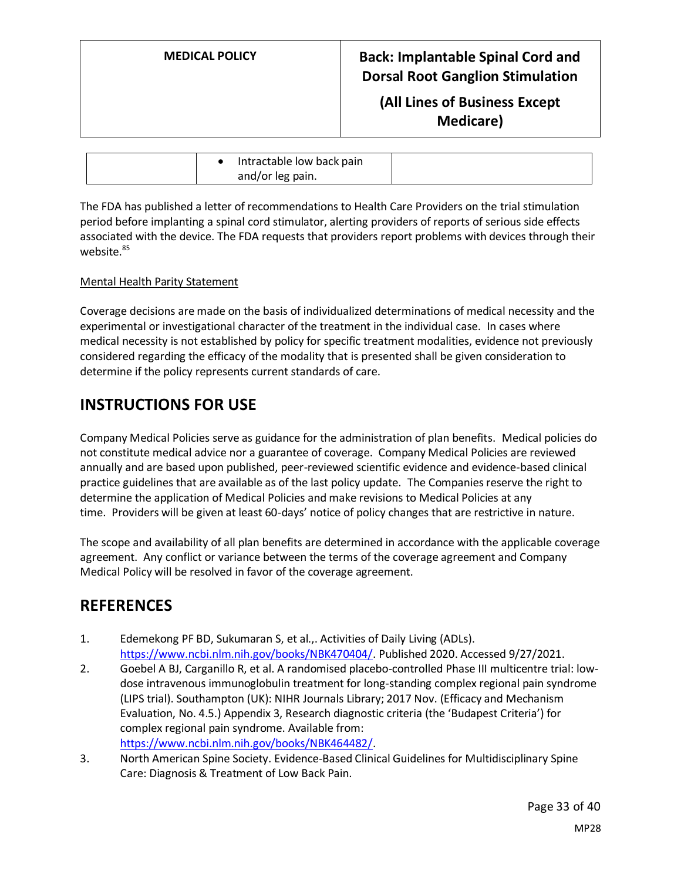**(All Lines of Business Except Medicare)**

|  | Intractable low back pain |  |
|--|---------------------------|--|
|  | and/or leg pain.          |  |

The FDA has published a letter of recommendations to Health Care Providers on the trial stimulation period before implanting a spinal cord stimulator, alerting providers of reports of serious side effects associated with the device. The FDA requests that providers report problems with devices through their website.<sup>85</sup>

### Mental Health Parity Statement

Coverage decisions are made on the basis of individualized determinations of medical necessity and the experimental or investigational character of the treatment in the individual case. In cases where medical necessity is not established by policy for specific treatment modalities, evidence not previously considered regarding the efficacy of the modality that is presented shall be given consideration to determine if the policy represents current standards of care.

## **INSTRUCTIONS FOR USE**

Company Medical Policies serve as guidance for the administration of plan benefits. Medical policies do not constitute medical advice nor a guarantee of coverage. Company Medical Policies are reviewed annually and are based upon published, peer-reviewed scientific evidence and evidence-based clinical practice guidelines that are available as of the last policy update. The Companies reserve the right to determine the application of Medical Policies and make revisions to Medical Policies at any time. Providers will be given at least 60-days' notice of policy changes that are restrictive in nature.

The scope and availability of all plan benefits are determined in accordance with the applicable coverage agreement. Any conflict or variance between the terms of the coverage agreement and Company Medical Policy will be resolved in favor of the coverage agreement.

## **REFERENCES**

- 1. Edemekong PF BD, Sukumaran S, et al.,. Activities of Daily Living (ADLs). [https://www.ncbi.nlm.nih.gov/books/NBK470404/.](https://www.ncbi.nlm.nih.gov/books/NBK470404/) Published 2020. Accessed 9/27/2021.
- 2. Goebel A BJ, Carganillo R, et al. A randomised placebo-controlled Phase III multicentre trial: lowdose intravenous immunoglobulin treatment for long-standing complex regional pain syndrome (LIPS trial). Southampton (UK): NIHR Journals Library; 2017 Nov. (Efficacy and Mechanism Evaluation, No. 4.5.) Appendix 3, Research diagnostic criteria (the 'Budapest Criteria') for complex regional pain syndrome. Available from: [https://www.ncbi.nlm.nih.gov/books/NBK464482/.](https://www.ncbi.nlm.nih.gov/books/NBK464482/)
- 3. North American Spine Society. Evidence-Based Clinical Guidelines for Multidisciplinary Spine Care: Diagnosis & Treatment of Low Back Pain.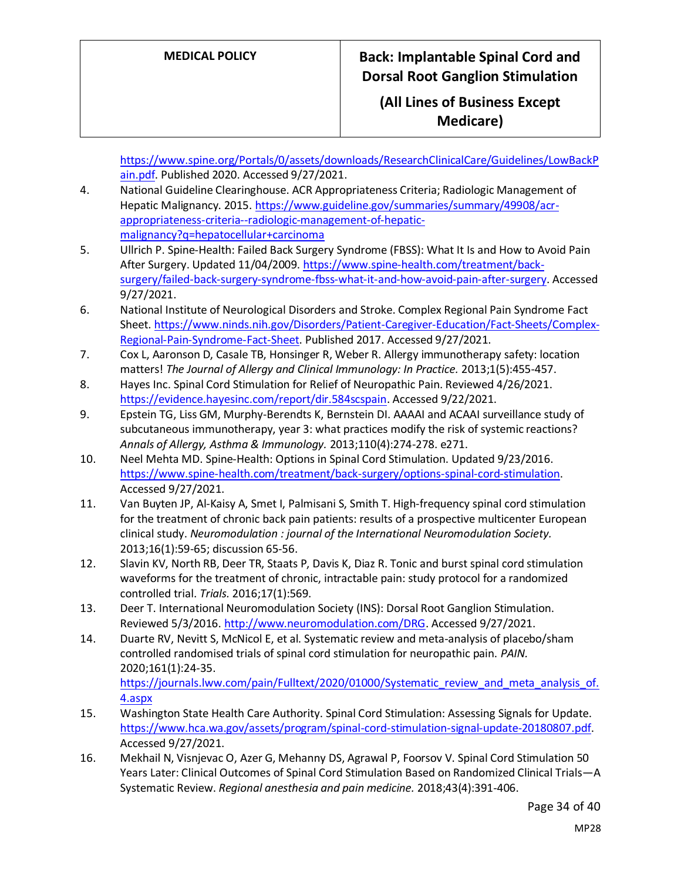## **(All Lines of Business Except Medicare)**

[https://www.spine.org/Portals/0/assets/downloads/ResearchClinicalCare/Guidelines/LowBackP](https://www.spine.org/Portals/0/assets/downloads/ResearchClinicalCare/Guidelines/LowBackPain.pdf) [ain.pdf.](https://www.spine.org/Portals/0/assets/downloads/ResearchClinicalCare/Guidelines/LowBackPain.pdf) Published 2020. Accessed 9/27/2021.

- 4. National Guideline Clearinghouse. ACR Appropriateness Criteria; Radiologic Management of Hepatic Malignancy. 2015. [https://www.guideline.gov/summaries/summary/49908/acr](https://www.guideline.gov/summaries/summary/49908/acr-appropriateness-criteria--radiologic-management-of-hepatic-malignancy?q=hepatocellular+carcinoma)[appropriateness-criteria--radiologic-management-of-hepatic](https://www.guideline.gov/summaries/summary/49908/acr-appropriateness-criteria--radiologic-management-of-hepatic-malignancy?q=hepatocellular+carcinoma)[malignancy?q=hepatocellular+carcinoma](https://www.guideline.gov/summaries/summary/49908/acr-appropriateness-criteria--radiologic-management-of-hepatic-malignancy?q=hepatocellular+carcinoma)
- 5. Ullrich P. Spine-Health: Failed Back Surgery Syndrome (FBSS): What It Is and How to Avoid Pain After Surgery. Updated 11/04/2009. [https://www.spine-health.com/treatment/back](https://www.spine-health.com/treatment/back-surgery/failed-back-surgery-syndrome-fbss-what-it-and-how-avoid-pain-after-surgery)[surgery/failed-back-surgery-syndrome-fbss-what-it-and-how-avoid-pain-after-surgery.](https://www.spine-health.com/treatment/back-surgery/failed-back-surgery-syndrome-fbss-what-it-and-how-avoid-pain-after-surgery) Accessed 9/27/2021.
- 6. National Institute of Neurological Disorders and Stroke. Complex Regional Pain Syndrome Fact Sheet[. https://www.ninds.nih.gov/Disorders/Patient-Caregiver-Education/Fact-Sheets/Complex-](https://www.ninds.nih.gov/Disorders/Patient-Caregiver-Education/Fact-Sheets/Complex-Regional-Pain-Syndrome-Fact-Sheet)[Regional-Pain-Syndrome-Fact-Sheet.](https://www.ninds.nih.gov/Disorders/Patient-Caregiver-Education/Fact-Sheets/Complex-Regional-Pain-Syndrome-Fact-Sheet) Published 2017. Accessed 9/27/2021.
- 7. Cox L, Aaronson D, Casale TB, Honsinger R, Weber R. Allergy immunotherapy safety: location matters! *The Journal of Allergy and Clinical Immunology: In Practice.* 2013;1(5):455-457.
- 8. Hayes Inc. Spinal Cord Stimulation for Relief of Neuropathic Pain. Reviewed 4/26/2021. [https://evidence.hayesinc.com/report/dir.584scspain.](https://evidence.hayesinc.com/report/dir.584scspain) Accessed 9/22/2021.
- 9. Epstein TG, Liss GM, Murphy-Berendts K, Bernstein DI. AAAAI and ACAAI surveillance study of subcutaneous immunotherapy, year 3: what practices modify the risk of systemic reactions? *Annals of Allergy, Asthma & Immunology.* 2013;110(4):274-278. e271.
- 10. Neel Mehta MD. Spine-Health: Options in Spinal Cord Stimulation. Updated 9/23/2016. [https://www.spine-health.com/treatment/back-surgery/options-spinal-cord-stimulation.](https://www.spine-health.com/treatment/back-surgery/options-spinal-cord-stimulation) Accessed 9/27/2021.
- 11. Van Buyten JP, Al-Kaisy A, Smet I, Palmisani S, Smith T. High-frequency spinal cord stimulation for the treatment of chronic back pain patients: results of a prospective multicenter European clinical study. *Neuromodulation : journal of the International Neuromodulation Society.*  2013;16(1):59-65; discussion 65-56.
- 12. Slavin KV, North RB, Deer TR, Staats P, Davis K, Diaz R. Tonic and burst spinal cord stimulation waveforms for the treatment of chronic, intractable pain: study protocol for a randomized controlled trial. *Trials.* 2016;17(1):569.
- 13. Deer T. International Neuromodulation Society (INS): Dorsal Root Ganglion Stimulation. Reviewed 5/3/2016[. http://www.neuromodulation.com/DRG.](http://www.neuromodulation.com/DRG) Accessed 9/27/2021.
- 14. Duarte RV, Nevitt S, McNicol E, et al. Systematic review and meta-analysis of placebo/sham controlled randomised trials of spinal cord stimulation for neuropathic pain. *PAIN.*  2020;161(1):24-35. [https://journals.lww.com/pain/Fulltext/2020/01000/Systematic\\_review\\_and\\_meta\\_analysis\\_of.](https://journals.lww.com/pain/Fulltext/2020/01000/Systematic_review_and_meta_analysis_of.4.aspx) [4.aspx](https://journals.lww.com/pain/Fulltext/2020/01000/Systematic_review_and_meta_analysis_of.4.aspx)
- 15. Washington State Health Care Authority. Spinal Cord Stimulation: Assessing Signals for Update. [https://www.hca.wa.gov/assets/program/spinal-cord-stimulation-signal-update-20180807.pdf.](https://www.hca.wa.gov/assets/program/spinal-cord-stimulation-signal-update-20180807.pdf) Accessed 9/27/2021.
- 16. Mekhail N, Visnjevac O, Azer G, Mehanny DS, Agrawal P, Foorsov V. Spinal Cord Stimulation 50 Years Later: Clinical Outcomes of Spinal Cord Stimulation Based on Randomized Clinical Trials—A Systematic Review. *Regional anesthesia and pain medicine.* 2018;43(4):391-406.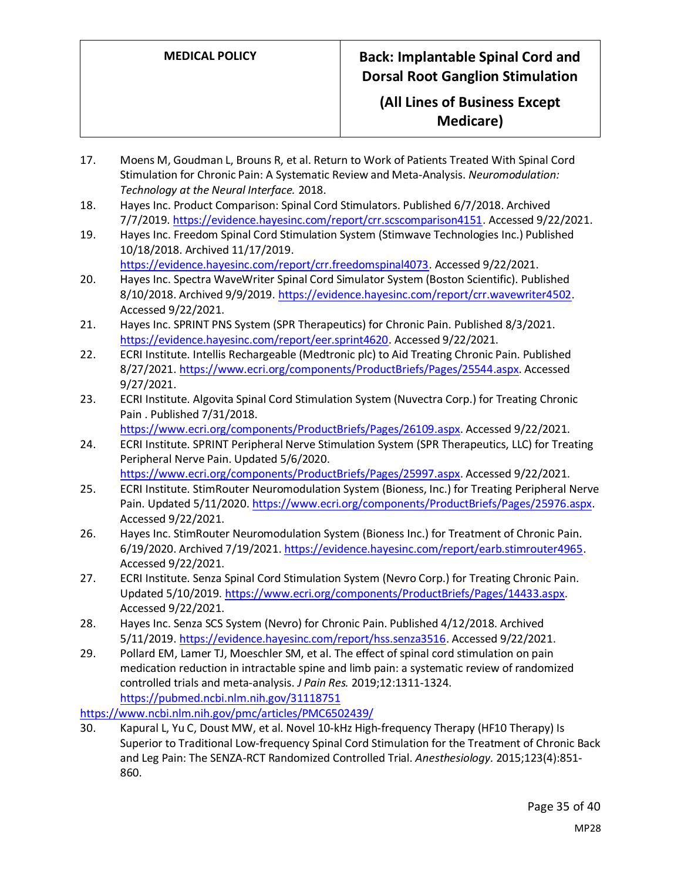## **(All Lines of Business Except Medicare)**

- 17. Moens M, Goudman L, Brouns R, et al. Return to Work of Patients Treated With Spinal Cord Stimulation for Chronic Pain: A Systematic Review and Meta‐Analysis. *Neuromodulation: Technology at the Neural Interface.* 2018.
- 18. Hayes Inc. Product Comparison: Spinal Cord Stimulators. Published 6/7/2018. Archived 7/7/2019. [https://evidence.hayesinc.com/report/crr.scscomparison4151.](https://evidence.hayesinc.com/report/crr.scscomparison4151) Accessed 9/22/2021.
- 19. Hayes Inc. Freedom Spinal Cord Stimulation System (Stimwave Technologies Inc.) Published 10/18/2018. Archived 11/17/2019.
	- [https://evidence.hayesinc.com/report/crr.freedomspinal4073.](https://evidence.hayesinc.com/report/crr.freedomspinal4073) Accessed 9/22/2021.
- 20. Hayes Inc. Spectra WaveWriter Spinal Cord Simulator System (Boston Scientific). Published 8/10/2018. Archived 9/9/2019. [https://evidence.hayesinc.com/report/crr.wavewriter4502.](https://evidence.hayesinc.com/report/crr.wavewriter4502) Accessed 9/22/2021.
- 21. Hayes Inc. SPRINT PNS System (SPR Therapeutics) for Chronic Pain. Published 8/3/2021. [https://evidence.hayesinc.com/report/eer.sprint4620.](https://evidence.hayesinc.com/report/eer.sprint4620) Accessed 9/22/2021.
- 22. ECRI Institute. Intellis Rechargeable (Medtronic plc) to Aid Treating Chronic Pain. Published 8/27/2021. [https://www.ecri.org/components/ProductBriefs/Pages/25544.aspx.](https://www.ecri.org/components/ProductBriefs/Pages/25544.aspx) Accessed 9/27/2021.
- 23. ECRI Institute. Algovita Spinal Cord Stimulation System (Nuvectra Corp.) for Treating Chronic Pain . Published 7/31/2018.
	- [https://www.ecri.org/components/ProductBriefs/Pages/26109.aspx.](https://www.ecri.org/components/ProductBriefs/Pages/26109.aspx) Accessed 9/22/2021.
- 24. ECRI Institute. SPRINT Peripheral Nerve Stimulation System (SPR Therapeutics, LLC) for Treating Peripheral Nerve Pain. Updated 5/6/2020. [https://www.ecri.org/components/ProductBriefs/Pages/25997.aspx.](https://www.ecri.org/components/ProductBriefs/Pages/25997.aspx) Accessed 9/22/2021.
- 25. ECRI Institute. StimRouter Neuromodulation System (Bioness, Inc.) for Treating Peripheral Nerve Pain. Updated 5/11/2020[. https://www.ecri.org/components/ProductBriefs/Pages/25976.aspx.](https://www.ecri.org/components/ProductBriefs/Pages/25976.aspx) Accessed 9/22/2021.
- 26. Hayes Inc. StimRouter Neuromodulation System (Bioness Inc.) for Treatment of Chronic Pain. 6/19/2020. Archived 7/19/2021[. https://evidence.hayesinc.com/report/earb.stimrouter4965.](https://evidence.hayesinc.com/report/earb.stimrouter4965) Accessed 9/22/2021.
- 27. ECRI Institute. Senza Spinal Cord Stimulation System (Nevro Corp.) for Treating Chronic Pain. Updated 5/10/2019. [https://www.ecri.org/components/ProductBriefs/Pages/14433.aspx.](https://www.ecri.org/components/ProductBriefs/Pages/14433.aspx) Accessed 9/22/2021.
- 28. Hayes Inc. Senza SCS System (Nevro) for Chronic Pain. Published 4/12/2018. Archived 5/11/2019. [https://evidence.hayesinc.com/report/hss.senza3516.](https://evidence.hayesinc.com/report/hss.senza3516) Accessed 9/22/2021.
- 29. Pollard EM, Lamer TJ, Moeschler SM, et al. The effect of spinal cord stimulation on pain medication reduction in intractable spine and limb pain: a systematic review of randomized controlled trials and meta-analysis. *J Pain Res.* 2019;12:1311-1324. <https://pubmed.ncbi.nlm.nih.gov/31118751>

<https://www.ncbi.nlm.nih.gov/pmc/articles/PMC6502439/>

30. Kapural L, Yu C, Doust MW, et al. Novel 10-kHz High-frequency Therapy (HF10 Therapy) Is Superior to Traditional Low-frequency Spinal Cord Stimulation for the Treatment of Chronic Back and Leg Pain: The SENZA-RCT Randomized Controlled Trial. *Anesthesiology.* 2015;123(4):851- 860.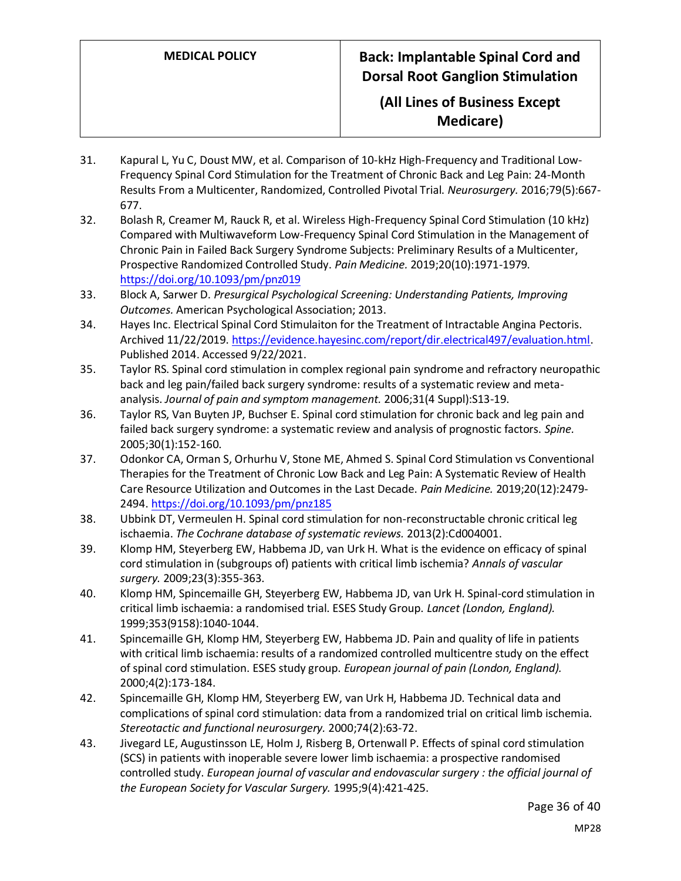## **(All Lines of Business Except Medicare)**

- 31. Kapural L, Yu C, Doust MW, et al. Comparison of 10-kHz High-Frequency and Traditional Low-Frequency Spinal Cord Stimulation for the Treatment of Chronic Back and Leg Pain: 24-Month Results From a Multicenter, Randomized, Controlled Pivotal Trial. *Neurosurgery.* 2016;79(5):667- 677.
- 32. Bolash R, Creamer M, Rauck R, et al. Wireless High-Frequency Spinal Cord Stimulation (10 kHz) Compared with Multiwaveform Low-Frequency Spinal Cord Stimulation in the Management of Chronic Pain in Failed Back Surgery Syndrome Subjects: Preliminary Results of a Multicenter, Prospective Randomized Controlled Study. *Pain Medicine.* 2019;20(10):1971-1979. <https://doi.org/10.1093/pm/pnz019>
- 33. Block A, Sarwer D. *Presurgical Psychological Screening: Understanding Patients, Improving Outcomes.* American Psychological Association; 2013.
- 34. Hayes Inc. Electrical Spinal Cord Stimulaiton for the Treatment of Intractable Angina Pectoris. Archived 11/22/2019. [https://evidence.hayesinc.com/report/dir.electrical497/evaluation.html.](https://evidence.hayesinc.com/report/dir.electrical497/evaluation.html) Published 2014. Accessed 9/22/2021.
- 35. Taylor RS. Spinal cord stimulation in complex regional pain syndrome and refractory neuropathic back and leg pain/failed back surgery syndrome: results of a systematic review and metaanalysis. *Journal of pain and symptom management.* 2006;31(4 Suppl):S13-19.
- 36. Taylor RS, Van Buyten JP, Buchser E. Spinal cord stimulation for chronic back and leg pain and failed back surgery syndrome: a systematic review and analysis of prognostic factors. *Spine.*  2005;30(1):152-160.
- 37. Odonkor CA, Orman S, Orhurhu V, Stone ME, Ahmed S. Spinal Cord Stimulation vs Conventional Therapies for the Treatment of Chronic Low Back and Leg Pain: A Systematic Review of Health Care Resource Utilization and Outcomes in the Last Decade. *Pain Medicine.* 2019;20(12):2479- 2494[. https://doi.org/10.1093/pm/pnz185](https://doi.org/10.1093/pm/pnz185)
- 38. Ubbink DT, Vermeulen H. Spinal cord stimulation for non-reconstructable chronic critical leg ischaemia. *The Cochrane database of systematic reviews.* 2013(2):Cd004001.
- 39. Klomp HM, Steyerberg EW, Habbema JD, van Urk H. What is the evidence on efficacy of spinal cord stimulation in (subgroups of) patients with critical limb ischemia? *Annals of vascular surgery.* 2009;23(3):355-363.
- 40. Klomp HM, Spincemaille GH, Steyerberg EW, Habbema JD, van Urk H. Spinal-cord stimulation in critical limb ischaemia: a randomised trial. ESES Study Group. *Lancet (London, England).*  1999;353(9158):1040-1044.
- 41. Spincemaille GH, Klomp HM, Steyerberg EW, Habbema JD. Pain and quality of life in patients with critical limb ischaemia: results of a randomized controlled multicentre study on the effect of spinal cord stimulation. ESES study group. *European journal of pain (London, England).*  2000;4(2):173-184.
- 42. Spincemaille GH, Klomp HM, Steyerberg EW, van Urk H, Habbema JD. Technical data and complications of spinal cord stimulation: data from a randomized trial on critical limb ischemia. *Stereotactic and functional neurosurgery.* 2000;74(2):63-72.
- 43. Jivegard LE, Augustinsson LE, Holm J, Risberg B, Ortenwall P. Effects of spinal cord stimulation (SCS) in patients with inoperable severe lower limb ischaemia: a prospective randomised controlled study. *European journal of vascular and endovascular surgery : the official journal of the European Society for Vascular Surgery.* 1995;9(4):421-425.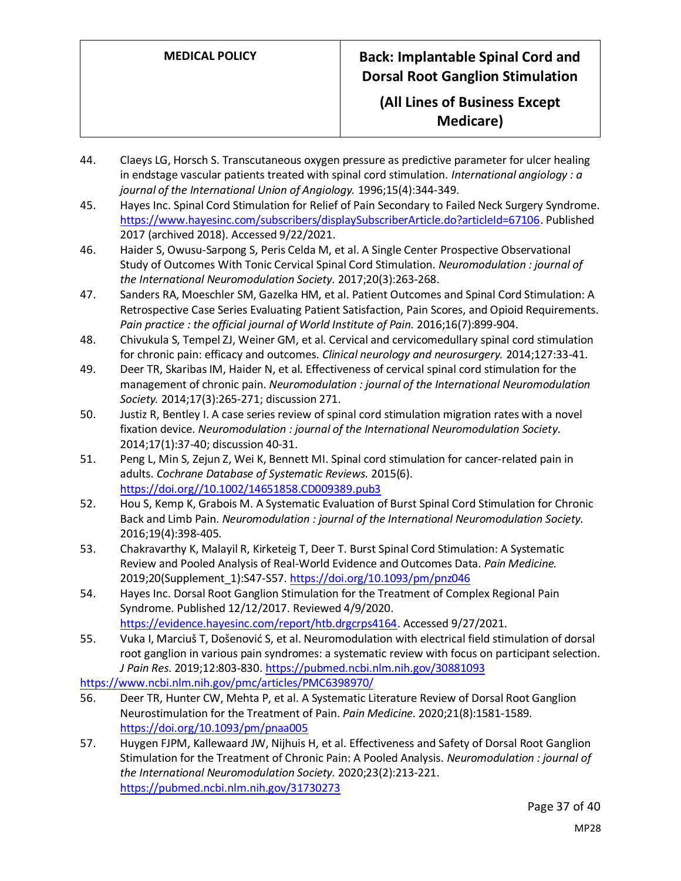## **(All Lines of Business Except Medicare)**

- 44. Claeys LG, Horsch S. Transcutaneous oxygen pressure as predictive parameter for ulcer healing in endstage vascular patients treated with spinal cord stimulation. *International angiology : a journal of the International Union of Angiology.* 1996;15(4):344-349.
- 45. Hayes Inc. Spinal Cord Stimulation for Relief of Pain Secondary to Failed Neck Surgery Syndrome. [https://www.hayesinc.com/subscribers/displaySubscriberArticle.do?articleId=67106.](https://www.hayesinc.com/subscribers/displaySubscriberArticle.do?articleId=67106) Published 2017 (archived 2018). Accessed 9/22/2021.
- 46. Haider S, Owusu-Sarpong S, Peris Celda M, et al. A Single Center Prospective Observational Study of Outcomes With Tonic Cervical Spinal Cord Stimulation. *Neuromodulation : journal of the International Neuromodulation Society.* 2017;20(3):263-268.
- 47. Sanders RA, Moeschler SM, Gazelka HM, et al. Patient Outcomes and Spinal Cord Stimulation: A Retrospective Case Series Evaluating Patient Satisfaction, Pain Scores, and Opioid Requirements. *Pain practice : the official journal of World Institute of Pain.* 2016;16(7):899-904.
- 48. Chivukula S, Tempel ZJ, Weiner GM, et al. Cervical and cervicomedullary spinal cord stimulation for chronic pain: efficacy and outcomes. *Clinical neurology and neurosurgery.* 2014;127:33-41.
- 49. Deer TR, Skaribas IM, Haider N, et al. Effectiveness of cervical spinal cord stimulation for the management of chronic pain. *Neuromodulation : journal of the International Neuromodulation Society.* 2014;17(3):265-271; discussion 271.
- 50. Justiz R, Bentley I. A case series review of spinal cord stimulation migration rates with a novel fixation device. *Neuromodulation : journal of the International Neuromodulation Society.*  2014;17(1):37-40; discussion 40-31.
- 51. Peng L, Min S, Zejun Z, Wei K, Bennett MI. Spinal cord stimulation for cancer-related pain in adults. *Cochrane Database of Systematic Reviews.* 2015(6). [https://doi.org//10.1002/14651858.CD009389.pub3](https://doi.org/10.1002/14651858.CD009389.pub3)
- 52. Hou S, Kemp K, Grabois M. A Systematic Evaluation of Burst Spinal Cord Stimulation for Chronic Back and Limb Pain. *Neuromodulation : journal of the International Neuromodulation Society.*  2016;19(4):398-405.
- 53. Chakravarthy K, Malayil R, Kirketeig T, Deer T. Burst Spinal Cord Stimulation: A Systematic Review and Pooled Analysis of Real-World Evidence and Outcomes Data. *Pain Medicine.*  2019;20(Supplement\_1):S47-S57[. https://doi.org/10.1093/pm/pnz046](https://doi.org/10.1093/pm/pnz046)
- 54. Hayes Inc. Dorsal Root Ganglion Stimulation for the Treatment of Complex Regional Pain Syndrome. Published 12/12/2017. Reviewed 4/9/2020. [https://evidence.hayesinc.com/report/htb.drgcrps4164.](https://evidence.hayesinc.com/report/htb.drgcrps4164) Accessed 9/27/2021.
- 55. Vuka I, Marciuš T, Došenović S, et al. Neuromodulation with electrical field stimulation of dorsal root ganglion in various pain syndromes: a systematic review with focus on participant selection. *J Pain Res.* 2019;12:803-830[. https://pubmed.ncbi.nlm.nih.gov/30881093](https://pubmed.ncbi.nlm.nih.gov/30881093)

<https://www.ncbi.nlm.nih.gov/pmc/articles/PMC6398970/>

- 56. Deer TR, Hunter CW, Mehta P, et al. A Systematic Literature Review of Dorsal Root Ganglion Neurostimulation for the Treatment of Pain. *Pain Medicine.* 2020;21(8):1581-1589. <https://doi.org/10.1093/pm/pnaa005>
- 57. Huygen FJPM, Kallewaard JW, Nijhuis H, et al. Effectiveness and Safety of Dorsal Root Ganglion Stimulation for the Treatment of Chronic Pain: A Pooled Analysis. *Neuromodulation : journal of the International Neuromodulation Society.* 2020;23(2):213-221. <https://pubmed.ncbi.nlm.nih.gov/31730273>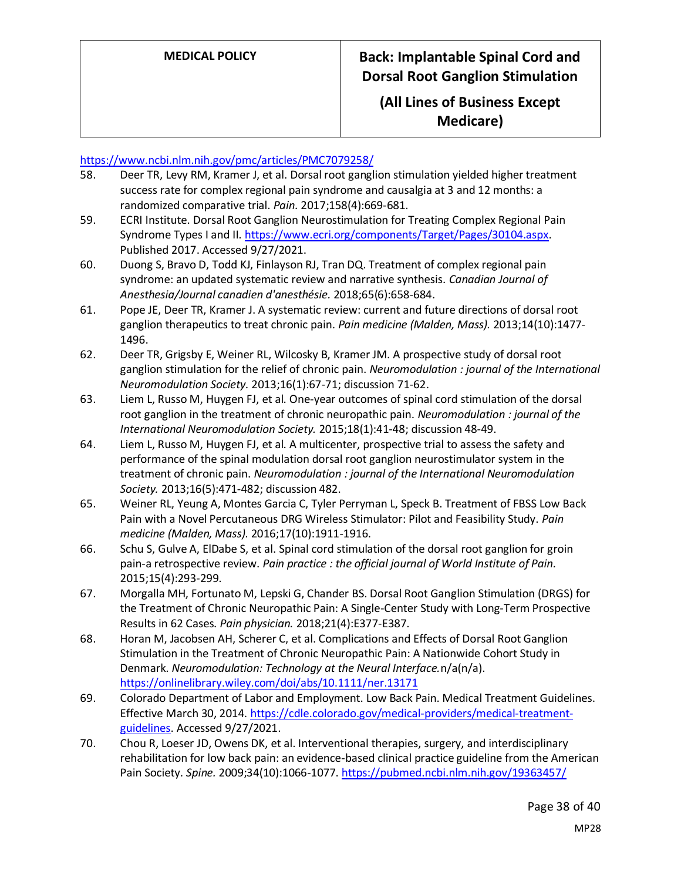## **(All Lines of Business Except Medicare)**

### <https://www.ncbi.nlm.nih.gov/pmc/articles/PMC7079258/>

- 58. Deer TR, Levy RM, Kramer J, et al. Dorsal root ganglion stimulation yielded higher treatment success rate for complex regional pain syndrome and causalgia at 3 and 12 months: a randomized comparative trial. *Pain.* 2017;158(4):669-681.
- 59. ECRI Institute. Dorsal Root Ganglion Neurostimulation for Treating Complex Regional Pain Syndrome Types I and II[. https://www.ecri.org/components/Target/Pages/30104.aspx.](https://www.ecri.org/components/Target/Pages/30104.aspx) Published 2017. Accessed 9/27/2021.
- 60. Duong S, Bravo D, Todd KJ, Finlayson RJ, Tran DQ. Treatment of complex regional pain syndrome: an updated systematic review and narrative synthesis. *Canadian Journal of Anesthesia/Journal canadien d'anesthésie.* 2018;65(6):658-684.
- 61. Pope JE, Deer TR, Kramer J. A systematic review: current and future directions of dorsal root ganglion therapeutics to treat chronic pain. *Pain medicine (Malden, Mass).* 2013;14(10):1477- 1496.
- 62. Deer TR, Grigsby E, Weiner RL, Wilcosky B, Kramer JM. A prospective study of dorsal root ganglion stimulation for the relief of chronic pain. *Neuromodulation : journal of the International Neuromodulation Society.* 2013;16(1):67-71; discussion 71-62.
- 63. Liem L, Russo M, Huygen FJ, et al. One-year outcomes of spinal cord stimulation of the dorsal root ganglion in the treatment of chronic neuropathic pain. *Neuromodulation : journal of the International Neuromodulation Society.* 2015;18(1):41-48; discussion 48-49.
- 64. Liem L, Russo M, Huygen FJ, et al. A multicenter, prospective trial to assess the safety and performance of the spinal modulation dorsal root ganglion neurostimulator system in the treatment of chronic pain. *Neuromodulation : journal of the International Neuromodulation Society.* 2013;16(5):471-482; discussion 482.
- 65. Weiner RL, Yeung A, Montes Garcia C, Tyler Perryman L, Speck B. Treatment of FBSS Low Back Pain with a Novel Percutaneous DRG Wireless Stimulator: Pilot and Feasibility Study. *Pain medicine (Malden, Mass).* 2016;17(10):1911-1916.
- 66. Schu S, Gulve A, ElDabe S, et al. Spinal cord stimulation of the dorsal root ganglion for groin pain-a retrospective review. *Pain practice : the official journal of World Institute of Pain.*  2015;15(4):293-299.
- 67. Morgalla MH, Fortunato M, Lepski G, Chander BS. Dorsal Root Ganglion Stimulation (DRGS) for the Treatment of Chronic Neuropathic Pain: A Single-Center Study with Long-Term Prospective Results in 62 Cases. *Pain physician.* 2018;21(4):E377-E387.
- 68. Horan M, Jacobsen AH, Scherer C, et al. Complications and Effects of Dorsal Root Ganglion Stimulation in the Treatment of Chronic Neuropathic Pain: A Nationwide Cohort Study in Denmark. *Neuromodulation: Technology at the Neural Interface.*n/a(n/a). <https://onlinelibrary.wiley.com/doi/abs/10.1111/ner.13171>
- 69. Colorado Department of Labor and Employment. Low Back Pain. Medical Treatment Guidelines. Effective March 30, 2014[. https://cdle.colorado.gov/medical-providers/medical-treatment](https://cdle.colorado.gov/medical-providers/medical-treatment-guidelines)[guidelines.](https://cdle.colorado.gov/medical-providers/medical-treatment-guidelines) Accessed 9/27/2021.
- 70. Chou R, Loeser JD, Owens DK, et al. Interventional therapies, surgery, and interdisciplinary rehabilitation for low back pain: an evidence-based clinical practice guideline from the American Pain Society. *Spine.* 2009;34(10):1066-1077.<https://pubmed.ncbi.nlm.nih.gov/19363457/>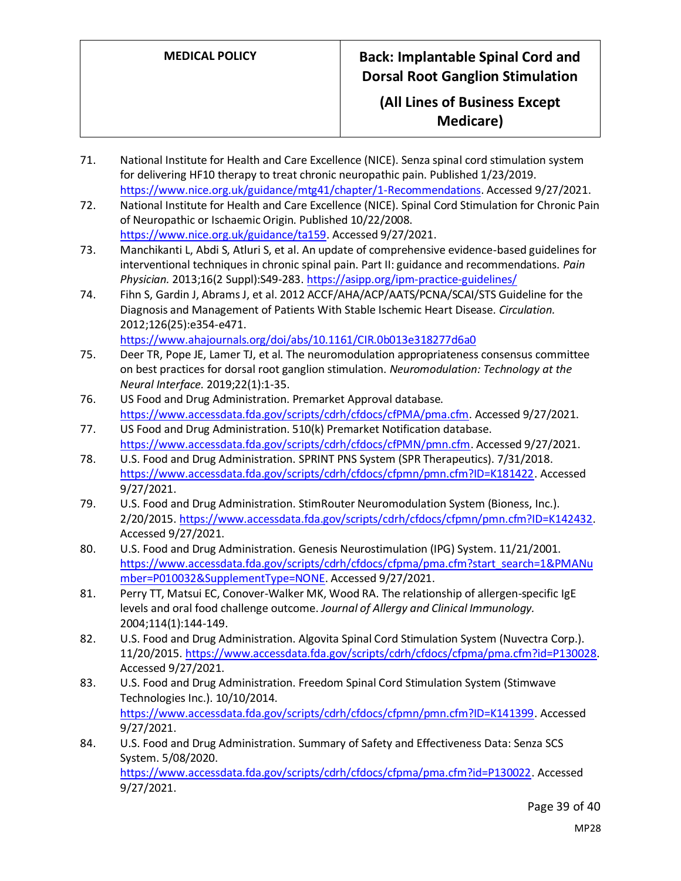## **(All Lines of Business Except Medicare)**

- 71. National Institute for Health and Care Excellence (NICE). Senza spinal cord stimulation system for delivering HF10 therapy to treat chronic neuropathic pain. Published 1/23/2019. [https://www.nice.org.uk/guidance/mtg41/chapter/1-Recommendations.](https://www.nice.org.uk/guidance/mtg41/chapter/1-Recommendations) Accessed 9/27/2021.
- 72. National Institute for Health and Care Excellence (NICE). Spinal Cord Stimulation for Chronic Pain of Neuropathic or Ischaemic Origin. Published 10/22/2008. [https://www.nice.org.uk/guidance/ta159.](https://www.nice.org.uk/guidance/ta159) Accessed 9/27/2021.
- 73. Manchikanti L, Abdi S, Atluri S, et al. An update of comprehensive evidence-based guidelines for interventional techniques in chronic spinal pain. Part II: guidance and recommendations. *Pain Physician.* 2013;16(2 Suppl):S49-283[. https://asipp.org/ipm-practice-guidelines/](https://asipp.org/ipm-practice-guidelines/)
- 74. Fihn S, Gardin J, Abrams J, et al. 2012 ACCF/AHA/ACP/AATS/PCNA/SCAI/STS Guideline for the Diagnosis and Management of Patients With Stable Ischemic Heart Disease. *Circulation.*  2012;126(25):e354-e471. <https://www.ahajournals.org/doi/abs/10.1161/CIR.0b013e318277d6a0>

75. Deer TR, Pope JE, Lamer TJ, et al. The neuromodulation appropriateness consensus committee on best practices for dorsal root ganglion stimulation. *Neuromodulation: Technology at the Neural Interface.* 2019;22(1):1-35.

- 76. US Food and Drug Administration. Premarket Approval database. [https://www.accessdata.fda.gov/scripts/cdrh/cfdocs/cfPMA/pma.cfm.](https://www.accessdata.fda.gov/scripts/cdrh/cfdocs/cfPMA/pma.cfm) Accessed 9/27/2021.
- 77. US Food and Drug Administration. 510(k) Premarket Notification database. [https://www.accessdata.fda.gov/scripts/cdrh/cfdocs/cfPMN/pmn.cfm.](https://www.accessdata.fda.gov/scripts/cdrh/cfdocs/cfPMN/pmn.cfm) Accessed 9/27/2021.
- 78. U.S. Food and Drug Administration. SPRINT PNS System (SPR Therapeutics). 7/31/2018. [https://www.accessdata.fda.gov/scripts/cdrh/cfdocs/cfpmn/pmn.cfm?ID=K181422.](https://www.accessdata.fda.gov/scripts/cdrh/cfdocs/cfpmn/pmn.cfm?ID=K181422) Accessed 9/27/2021.
- 79. U.S. Food and Drug Administration. StimRouter Neuromodulation System (Bioness, Inc.). 2/20/2015. [https://www.accessdata.fda.gov/scripts/cdrh/cfdocs/cfpmn/pmn.cfm?ID=K142432.](https://www.accessdata.fda.gov/scripts/cdrh/cfdocs/cfpmn/pmn.cfm?ID=K142432) Accessed 9/27/2021.
- 80. U.S. Food and Drug Administration. Genesis Neurostimulation (IPG) System. 11/21/2001. [https://www.accessdata.fda.gov/scripts/cdrh/cfdocs/cfpma/pma.cfm?start\\_search=1&PMANu](https://www.accessdata.fda.gov/scripts/cdrh/cfdocs/cfpma/pma.cfm?start_search=1&PMANumber=P010032&SupplementType=NONE) [mber=P010032&SupplementType=NONE.](https://www.accessdata.fda.gov/scripts/cdrh/cfdocs/cfpma/pma.cfm?start_search=1&PMANumber=P010032&SupplementType=NONE) Accessed 9/27/2021.
- 81. Perry TT, Matsui EC, Conover-Walker MK, Wood RA. The relationship of allergen-specific IgE levels and oral food challenge outcome. *Journal of Allergy and Clinical Immunology.*  2004;114(1):144-149.
- 82. U.S. Food and Drug Administration. Algovita Spinal Cord Stimulation System (Nuvectra Corp.). 11/20/2015[. https://www.accessdata.fda.gov/scripts/cdrh/cfdocs/cfpma/pma.cfm?id=P130028.](https://www.accessdata.fda.gov/scripts/cdrh/cfdocs/cfpma/pma.cfm?id=P130028) Accessed 9/27/2021.
- 83. U.S. Food and Drug Administration. Freedom Spinal Cord Stimulation System (Stimwave Technologies Inc.). 10/10/2014. [https://www.accessdata.fda.gov/scripts/cdrh/cfdocs/cfpmn/pmn.cfm?ID=K141399.](https://www.accessdata.fda.gov/scripts/cdrh/cfdocs/cfpmn/pmn.cfm?ID=K141399) Accessed 9/27/2021.
- 84. U.S. Food and Drug Administration. Summary of Safety and Effectiveness Data: Senza SCS System. 5/08/2020. [https://www.accessdata.fda.gov/scripts/cdrh/cfdocs/cfpma/pma.cfm?id=P130022.](https://www.accessdata.fda.gov/scripts/cdrh/cfdocs/cfpma/pma.cfm?id=P130022) Accessed 9/27/2021.